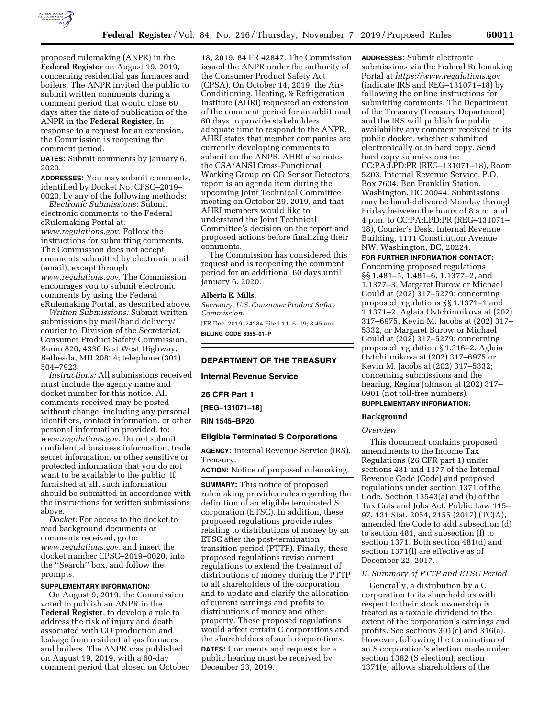

proposed rulemaking (ANPR) in the **Federal Register** on August 19, 2019, concerning residential gas furnaces and boilers. The ANPR invited the public to submit written comments during a comment period that would close 60 days after the date of publication of the ANPR in the **Federal Register**. In response to a request for an extension, the Commission is reopening the comment period.

**DATES:** Submit comments by January 6, 2020.

**ADDRESSES:** You may submit comments, identified by Docket No. CPSC–2019– 0020, by any of the following methods:

*Electronic Submissions:* Submit electronic comments to the Federal eRulemaking Portal at: *[www.regulations.gov](http://www.regulations.gov)*. Follow the instructions for submitting comments. The Commission does not accept comments submitted by electronic mail (email), except through *[www.regulations.gov](http://www.regulations.gov)*. The Commission encourages you to submit electronic comments by using the Federal eRulemaking Portal, as described above.

*Written Submissions:* Submit written submissions by mail/hand delivery/ courier to: Division of the Secretariat, Consumer Product Safety Commission, Room 820, 4330 East West Highway, Bethesda, MD 20814; telephone (301) 504–7923.

*Instructions:* All submissions received must include the agency name and docket number for this notice. All comments received may be posted without change, including any personal identifiers, contact information, or other personal information provided, to: *[www.regulations.gov](http://www.regulations.gov)*. Do not submit confidential business information, trade secret information, or other sensitive or protected information that you do not want to be available to the public. If furnished at all, such information should be submitted in accordance with the instructions for written submissions above.

*Docket:* For access to the docket to read background documents or comments received, go to: *[www.regulations.gov,](http://www.regulations.gov)* and insert the docket number CPSC-2019-0020, into the ''Search'' box, and follow the prompts.

#### **SUPPLEMENTARY INFORMATION:**

On August 9, 2019, the Commission voted to publish an ANPR in the **Federal Register**, to develop a rule to address the risk of injury and death associated with CO production and leakage from residential gas furnaces and boilers. The ANPR was published on August 19, 2019, with a 60-day comment period that closed on October

18, 2019. 84 FR 42847. The Commission issued the ANPR under the authority of the Consumer Product Safety Act (CPSA). On October 14, 2019, the Air-Conditioning, Heating, & Refrigeration Institute (AHRI) requested an extension of the comment period for an additional 60 days to provide stakeholders adequate time to respond to the ANPR. AHRI states that member companies are currently developing comments to submit on the ANPR. AHRI also notes the CSA/ANSI Cross-Functional Working Group on CO Sensor Detectors report is an agenda item during the upcoming Joint Technical Committee meeting on October 29, 2019, and that AHRI members would like to understand the Joint Technical Committee's decision on the report and proposed actions before finalizing their comments.

The Commission has considered this request and is reopening the comment period for an additional 60 days until January 6, 2020.

#### **Alberta E. Mills,**

*Secretary, U.S. Consumer Product Safety Commission.*  [FR Doc. 2019–24284 Filed 11–6–19; 8:45 am] **BILLING CODE 6355–01–P** 

#### **DEPARTMENT OF THE TREASURY**

**Internal Revenue Service** 

# **26 CFR Part 1**

**[REG–131071–18]** 

#### **RIN 1545–BP20**

#### **Eligible Terminated S Corporations**

**AGENCY:** Internal Revenue Service (IRS), Treasury.

# **ACTION:** Notice of proposed rulemaking.

**SUMMARY:** This notice of proposed rulemaking provides rules regarding the definition of an eligible terminated S corporation (ETSC). In addition, these proposed regulations provide rules relating to distributions of money by an ETSC after the post-termination transition period (PTTP). Finally, these proposed regulations revise current regulations to extend the treatment of distributions of money during the PTTP to all shareholders of the corporation and to update and clarify the allocation of current earnings and profits to distributions of money and other property. These proposed regulations would affect certain C corporations and the shareholders of such corporations. **DATES:** Comments and requests for a public hearing must be received by December 23, 2019.

**ADDRESSES:** Submit electronic submissions via the Federal Rulemaking Portal at *<https://www.regulations.gov>*  (indicate IRS and REG–131071–18) by following the online instructions for submitting comments. The Department of the Treasury (Treasury Department) and the IRS will publish for public availability any comment received to its public docket, whether submitted electronically or in hard copy. Send hard copy submissions to: CC:PA:LPD:PR (REG–131071–18), Room 5203, Internal Revenue Service, P.O. Box 7604, Ben Franklin Station, Washington, DC 20044. Submissions may be hand-delivered Monday through Friday between the hours of 8 a.m. and 4 p.m. to CC:PA:LPD:PR (REG–131071– 18), Courier's Desk, Internal Revenue Building, 1111 Constitution Avenue NW, Washington, DC, 20224.

**FOR FURTHER INFORMATION CONTACT:**  Concerning proposed regulations §§ 1.481–5, 1.481–6, 1.1377–2, and 1.1377–3, Margaret Burow or Michael Gould at (202) 317–5279; concerning proposed regulations §§ 1.1371–1 and 1.1371–2, Aglaia Ovtchinnikova at (202) 317–6975, Kevin M. Jacobs at (202) 317– 5332, or Margaret Burow or Michael Gould at (202) 317–5279; concerning proposed regulation § 1.316–2, Aglaia Ovtchinnikova at (202) 317–6975 or Kevin M. Jacobs at (202) 317–5332; concerning submissions and the hearing, Regina Johnson at (202) 317– 6901 (not toll-free numbers).

# **SUPPLEMENTARY INFORMATION:**

#### **Background**

#### *Overview*

This document contains proposed amendments to the Income Tax Regulations (26 CFR part 1) under sections 481 and 1377 of the Internal Revenue Code (Code) and proposed regulations under section 1371 of the Code. Section 13543(a) and (b) of the Tax Cuts and Jobs Act, Public Law 115– 97, 131 Stat. 2054, 2155 (2017) (TCJA), amended the Code to add subsection (d) to section 481, and subsection (f) to section 1371. Both section 481(d) and section 1371(f) are effective as of December 22, 2017.

# *II. Summary of PTTP and ETSC Period*

Generally, a distribution by a C corporation to its shareholders with respect to their stock ownership is treated as a taxable dividend to the extent of the corporation's earnings and profits. See sections 301(c) and 316(a). However, following the termination of an S corporation's election made under section 1362 (S election), section 1371(e) allows shareholders of the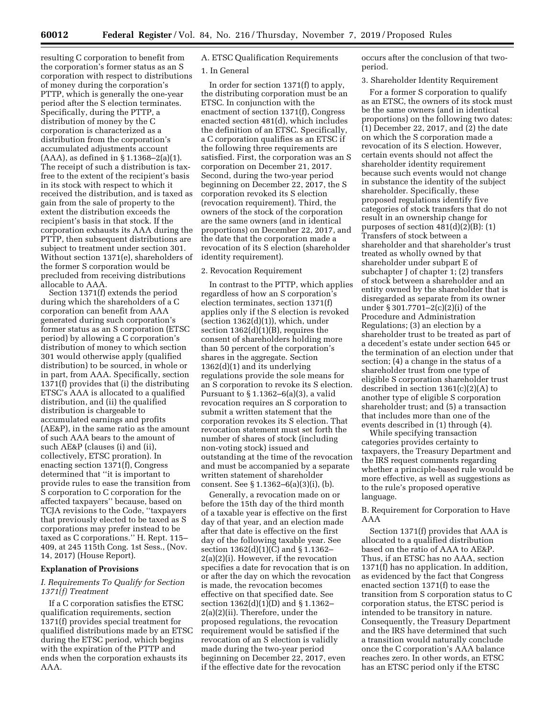resulting C corporation to benefit from the corporation's former status as an S corporation with respect to distributions of money during the corporation's PTTP, which is generally the one-year period after the S election terminates. Specifically, during the PTTP, a distribution of money by the C corporation is characterized as a distribution from the corporation's accumulated adjustments account (AAA), as defined in § 1.1368–2(a)(1). The receipt of such a distribution is taxfree to the extent of the recipient's basis in its stock with respect to which it received the distribution, and is taxed as gain from the sale of property to the extent the distribution exceeds the recipient's basis in that stock. If the corporation exhausts its AAA during the PTTP, then subsequent distributions are subject to treatment under section 301. Without section 1371(e), shareholders of the former S corporation would be precluded from receiving distributions allocable to AAA.

Section 1371(f) extends the period during which the shareholders of a C corporation can benefit from AAA generated during such corporation's former status as an S corporation (ETSC period) by allowing a C corporation's distribution of money to which section 301 would otherwise apply (qualified distribution) to be sourced, in whole or in part, from AAA. Specifically, section 1371(f) provides that (i) the distributing ETSC's AAA is allocated to a qualified distribution, and (ii) the qualified distribution is chargeable to accumulated earnings and profits (AE&P), in the same ratio as the amount of such AAA bears to the amount of such AE&P (clauses (i) and (ii), collectively, ETSC proration). In enacting section 1371(f), Congress determined that ''it is important to provide rules to ease the transition from S corporation to C corporation for the affected taxpayers'' because, based on TCJA revisions to the Code, ''taxpayers that previously elected to be taxed as S corporations may prefer instead to be taxed as C corporations.'' H. Rept. 115– 409, at 245 115th Cong. 1st Sess., (Nov. 14, 2017) (House Report).

# **Explanation of Provisions**

# *I. Requirements To Qualify for Section 1371(f) Treatment*

If a C corporation satisfies the ETSC qualification requirements, section 1371(f) provides special treatment for qualified distributions made by an ETSC during the ETSC period, which begins with the expiration of the PTTP and ends when the corporation exhausts its AAA.

# A. ETSC Qualification Requirements

# 1. In General

In order for section 1371(f) to apply, the distributing corporation must be an ETSC. In conjunction with the enactment of section 1371(f), Congress enacted section 481(d), which includes the definition of an ETSC. Specifically, a C corporation qualifies as an ETSC if the following three requirements are satisfied. First, the corporation was an S corporation on December 21, 2017. Second, during the two-year period beginning on December 22, 2017, the S corporation revoked its S election (revocation requirement). Third, the owners of the stock of the corporation are the same owners (and in identical proportions) on December 22, 2017, and the date that the corporation made a revocation of its S election (shareholder identity requirement).

#### 2. Revocation Requirement

In contrast to the PTTP, which applies regardless of how an S corporation's election terminates, section 1371(f) applies only if the S election is revoked (section  $1362(d)(1)$ ), which, under section  $1362(d)(1)(B)$ , requires the consent of shareholders holding more than 50 percent of the corporation's shares in the aggregate. Section 1362(d)(1) and its underlying regulations provide the sole means for an S corporation to revoke its S election. Pursuant to § 1.1362–6(a)(3), a valid revocation requires an S corporation to submit a written statement that the corporation revokes its S election. That revocation statement must set forth the number of shares of stock (including non-voting stock) issued and outstanding at the time of the revocation and must be accompanied by a separate written statement of shareholder consent. See § 1.1362–6(a)(3)(i), (b).

Generally, a revocation made on or before the 15th day of the third month of a taxable year is effective on the first day of that year, and an election made after that date is effective on the first day of the following taxable year. See section 1362(d)(1)(C) and § 1.1362– 2(a)(2)(i). However, if the revocation specifies a date for revocation that is on or after the day on which the revocation is made, the revocation becomes effective on that specified date. See section 1362(d)(1)(D) and § 1.1362– 2(a)(2)(ii). Therefore, under the proposed regulations, the revocation requirement would be satisfied if the revocation of an S election is validly made during the two-year period beginning on December 22, 2017, even if the effective date for the revocation

occurs after the conclusion of that twoperiod.

#### 3. Shareholder Identity Requirement

For a former S corporation to qualify as an ETSC, the owners of its stock must be the same owners (and in identical proportions) on the following two dates:  $(1)$  December 22, 2017, and  $(2)$  the date on which the S corporation made a revocation of its S election. However, certain events should not affect the shareholder identity requirement because such events would not change in substance the identity of the subject shareholder. Specifically, these proposed regulations identify five categories of stock transfers that do not result in an ownership change for purposes of section  $481(d)(2)(B)$ : (1) Transfers of stock between a shareholder and that shareholder's trust treated as wholly owned by that shareholder under subpart E of subchapter J of chapter 1; (2) transfers of stock between a shareholder and an entity owned by the shareholder that is disregarded as separate from its owner under § 301.7701–2(c)(2)(i) of the Procedure and Administration Regulations; (3) an election by a shareholder trust to be treated as part of a decedent's estate under section 645 or the termination of an election under that section; (4) a change in the status of a shareholder trust from one type of eligible S corporation shareholder trust described in section 1361(c)(2)(A) to another type of eligible S corporation shareholder trust; and (5) a transaction that includes more than one of the events described in (1) through (4).

While specifying transaction categories provides certainty to taxpayers, the Treasury Department and the IRS request comments regarding whether a principle-based rule would be more effective, as well as suggestions as to the rule's proposed operative language.

# B. Requirement for Corporation to Have AAA

Section 1371(f) provides that AAA is allocated to a qualified distribution based on the ratio of AAA to AE&P. Thus, if an ETSC has no AAA, section 1371(f) has no application. In addition, as evidenced by the fact that Congress enacted section 1371(f) to ease the transition from S corporation status to C corporation status, the ETSC period is intended to be transitory in nature. Consequently, the Treasury Department and the IRS have determined that such a transition would naturally conclude once the C corporation's AAA balance reaches zero. In other words, an ETSC has an ETSC period only if the ETSC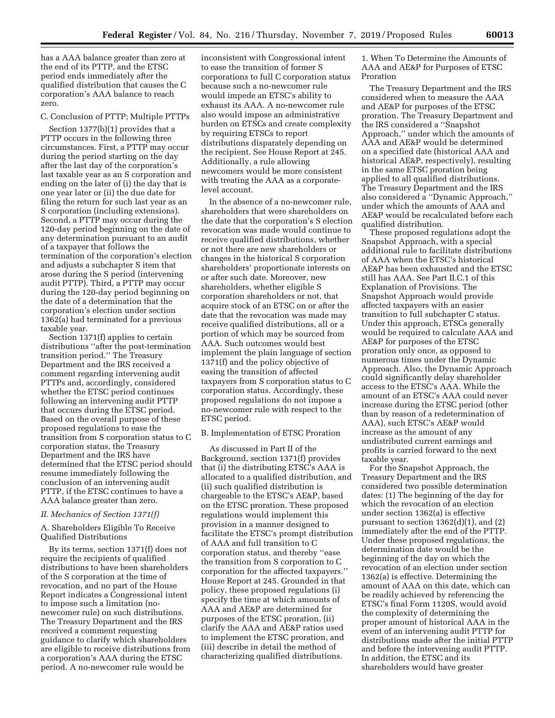has a AAA balance greater than zero at the end of its PTTP, and the ETSC period ends immediately after the qualified distribution that causes the C corporation's AAA balance to reach zero.

# C. Conclusion of PTTP; Multiple PTTPs

Section 1377(b)(1) provides that a PTTP occurs in the following three circumstances. First, a PTTP may occur during the period starting on the day after the last day of the corporation's last taxable year as an S corporation and ending on the later of (i) the day that is one year later or (ii) the due date for filing the return for such last year as an S corporation (including extensions). Second, a PTTP may occur during the 120-day period beginning on the date of any determination pursuant to an audit of a taxpayer that follows the termination of the corporation's election and adjusts a subchapter S item that arose during the S period (intervening audit PTTP). Third, a PTTP may occur during the 120-day period beginning on the date of a determination that the corporation's election under section 1362(a) had terminated for a previous taxable year.

Section 1371(f) applies to certain distributions ''after the post-termination transition period.'' The Treasury Department and the IRS received a comment regarding intervening audit PTTPs and, accordingly, considered whether the ETSC period continues following an intervening audit PTTP that occurs during the ETSC period. Based on the overall purpose of these proposed regulations to ease the transition from S corporation status to C corporation status, the Treasury Department and the IRS have determined that the ETSC period should resume immediately following the conclusion of an intervening audit PTTP, if the ETSC continues to have a AAA balance greater than zero.

# *II. Mechanics of Section 1371(f)*

A. Shareholders Eligible To Receive Qualified Distributions

By its terms, section 1371(f) does not require the recipients of qualified distributions to have been shareholders of the S corporation at the time of revocation, and no part of the House Report indicates a Congressional intent to impose such a limitation (nonewcomer rule) on such distributions. The Treasury Department and the IRS received a comment requesting guidance to clarify which shareholders are eligible to receive distributions from a corporation's AAA during the ETSC period. A no-newcomer rule would be

inconsistent with Congressional intent to ease the transition of former S corporations to full C corporation status because such a no-newcomer rule would impede an ETSC's ability to exhaust its AAA. A no-newcomer rule also would impose an administrative burden on ETSCs and create complexity by requiring ETSCs to report distributions disparately depending on the recipient. See House Report at 245. Additionally, a rule allowing newcomers would be more consistent with treating the AAA as a corporatelevel account.

In the absence of a no-newcomer rule, shareholders that were shareholders on the date that the corporation's S election revocation was made would continue to receive qualified distributions, whether or not there are new shareholders or changes in the historical S corporation shareholders' proportionate interests on or after such date. Moreover, new shareholders, whether eligible S corporation shareholders or not, that acquire stock of an ETSC on or after the date that the revocation was made may receive qualified distributions, all or a portion of which may be sourced from AAA. Such outcomes would best implement the plain language of section 1371(f) and the policy objective of easing the transition of affected taxpayers from S corporation status to C corporation status. Accordingly, these proposed regulations do not impose a no-newcomer rule with respect to the ETSC period.

# B. Implementation of ETSC Proration

As discussed in Part II of the Background, section 1371(f) provides that (i) the distributing ETSC's AAA is allocated to a qualified distribution, and (ii) such qualified distribution is chargeable to the ETSC's AE&P, based on the ETSC proration. These proposed regulations would implement this provision in a manner designed to facilitate the ETSC's prompt distribution of AAA and full transition to C corporation status, and thereby ''ease the transition from S corporation to C corporation for the affected taxpayers.'' House Report at 245. Grounded in that policy, these proposed regulations (i) specify the time at which amounts of AAA and AE&P are determined for purposes of the ETSC proration, (ii) clarify the AAA and AE&P ratios used to implement the ETSC proration, and (iii) describe in detail the method of characterizing qualified distributions.

1. When To Determine the Amounts of AAA and AE&P for Purposes of ETSC Proration

The Treasury Department and the IRS considered when to measure the AAA and AE&P for purposes of the ETSC proration. The Treasury Department and the IRS considered a ''Snapshot Approach,'' under which the amounts of AAA and AE&P would be determined on a specified date (historical AAA and historical AE&P, respectively), resulting in the same ETSC proration being applied to all qualified distributions. The Treasury Department and the IRS also considered a ''Dynamic Approach,'' under which the amounts of AAA and AE&P would be recalculated before each qualified distribution.

These proposed regulations adopt the Snapshot Approach, with a special additional rule to facilitate distributions of AAA when the ETSC's historical AE&P has been exhausted and the ETSC still has AAA. See Part II.C.1 of this Explanation of Provisions. The Snapshot Approach would provide affected taxpayers with an easier transition to full subchapter C status. Under this approach, ETSCs generally would be required to calculate AAA and AE&P for purposes of the ETSC proration only once, as opposed to numerous times under the Dynamic Approach. Also, the Dynamic Approach could significantly delay shareholder access to the ETSC's AAA. While the amount of an ETSC's AAA could never increase during the ETSC period (other than by reason of a redetermination of AAA), such ETSC's AE&P would increase as the amount of any undistributed current earnings and profits is carried forward to the next taxable year.

For the Snapshot Approach, the Treasury Department and the IRS considered two possible determination dates: (1) The beginning of the day for which the revocation of an election under section 1362(a) is effective pursuant to section  $1362(d)(1)$ , and  $(2)$ immediately after the end of the PTTP. Under these proposed regulations, the determination date would be the beginning of the day on which the revocation of an election under section 1362(a) is effective. Determining the amount of AAA on this date, which can be readily achieved by referencing the ETSC's final Form 1120S, would avoid the complexity of determining the proper amount of historical AAA in the event of an intervening audit PTTP for distributions made after the initial PTTP and before the intervening audit PTTP. In addition, the ETSC and its shareholders would have greater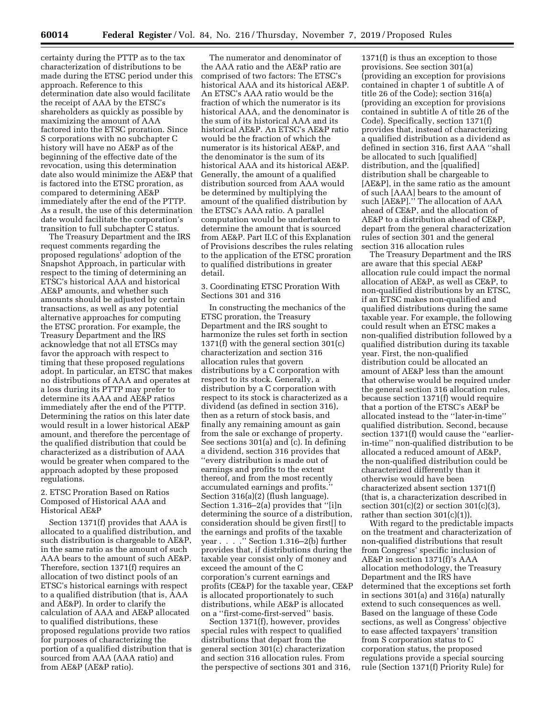certainty during the PTTP as to the tax characterization of distributions to be made during the ETSC period under this approach. Reference to this determination date also would facilitate the receipt of AAA by the ETSC's shareholders as quickly as possible by maximizing the amount of AAA factored into the ETSC proration. Since S corporations with no subchapter C history will have no AE&P as of the beginning of the effective date of the revocation, using this determination date also would minimize the AE&P that is factored into the ETSC proration, as compared to determining AE&P immediately after the end of the PTTP. As a result, the use of this determination date would facilitate the corporation's transition to full subchapter C status.

The Treasury Department and the IRS request comments regarding the proposed regulations' adoption of the Snapshot Approach, in particular with respect to the timing of determining an ETSC's historical AAA and historical AE&P amounts, and whether such amounts should be adjusted by certain transactions, as well as any potential alternative approaches for computing the ETSC proration. For example, the Treasury Department and the IRS acknowledge that not all ETSCs may favor the approach with respect to timing that these proposed regulations adopt. In particular, an ETSC that makes no distributions of AAA and operates at a loss during its PTTP may prefer to determine its AAA and AE&P ratios immediately after the end of the PTTP. Determining the ratios on this later date would result in a lower historical AE&P amount, and therefore the percentage of the qualified distribution that could be characterized as a distribution of AAA would be greater when compared to the approach adopted by these proposed regulations.

# 2. ETSC Proration Based on Ratios Composed of Historical AAA and Historical AE&P

Section 1371(f) provides that AAA is allocated to a qualified distribution, and such distribution is chargeable to AE&P, in the same ratio as the amount of such AAA bears to the amount of such AE&P. Therefore, section 1371(f) requires an allocation of two distinct pools of an ETSC's historical earnings with respect to a qualified distribution (that is, AAA and AE&P). In order to clarify the calculation of AAA and AE&P allocated to qualified distributions, these proposed regulations provide two ratios for purposes of characterizing the portion of a qualified distribution that is sourced from AAA (AAA ratio) and from AE&P (AE&P ratio).

The numerator and denominator of the AAA ratio and the AE&P ratio are comprised of two factors: The ETSC's historical AAA and its historical AE&P. An ETSC's AAA ratio would be the fraction of which the numerator is its historical AAA, and the denominator is the sum of its historical AAA and its historical AE&P. An ETSC's AE&P ratio would be the fraction of which the numerator is its historical AE&P, and the denominator is the sum of its historical AAA and its historical AE&P. Generally, the amount of a qualified distribution sourced from AAA would be determined by multiplying the amount of the qualified distribution by the ETSC's AAA ratio. A parallel computation would be undertaken to determine the amount that is sourced from AE&P. Part II.C of this Explanation of Provisions describes the rules relating to the application of the ETSC proration to qualified distributions in greater detail.

# 3. Coordinating ETSC Proration With Sections 301 and 316

In constructing the mechanics of the ETSC proration, the Treasury Department and the IRS sought to harmonize the rules set forth in section 1371(f) with the general section 301(c) characterization and section 316 allocation rules that govern distributions by a C corporation with respect to its stock. Generally, a distribution by a C corporation with respect to its stock is characterized as a dividend (as defined in section 316), then as a return of stock basis, and finally any remaining amount as gain from the sale or exchange of property. See sections 301(a) and (c). In defining a dividend, section 316 provides that ''every distribution is made out of earnings and profits to the extent thereof, and from the most recently accumulated earnings and profits.'' Section 316(a)(2) (flush language). Section 1.316–2(a) provides that ''[i]n determining the source of a distribution, consideration should be given first[] to the earnings and profits of the taxable year . . . . . " Section 1.316-2(b) further provides that, if distributions during the taxable year consist only of money and exceed the amount of the C corporation's current earnings and profits (CE&P) for the taxable year, CE&P is allocated proportionately to such distributions, while AE&P is allocated on a ''first-come-first-served'' basis.

Section 1371(f), however, provides special rules with respect to qualified distributions that depart from the general section 301(c) characterization and section 316 allocation rules. From the perspective of sections 301 and 316,

1371(f) is thus an exception to those provisions. See section 301(a) (providing an exception for provisions contained in chapter 1 of subtitle A of title 26 of the Code); section 316(a) (providing an exception for provisions contained in subtitle A of title 26 of the Code). Specifically, section 1371(f) provides that, instead of characterizing a qualified distribution as a dividend as defined in section 316, first AAA ''shall be allocated to such [qualified] distribution, and the [qualified] distribution shall be chargeable to [AE&P], in the same ratio as the amount of such [AAA] bears to the amount of such [AE&P].'' The allocation of AAA ahead of CE&P, and the allocation of AE&P to a distribution ahead of CE&P, depart from the general characterization rules of section 301 and the general section 316 allocation rules

The Treasury Department and the IRS are aware that this special AE&P allocation rule could impact the normal allocation of AE&P, as well as CE&P, to non-qualified distributions by an ETSC, if an ETSC makes non-qualified and qualified distributions during the same taxable year. For example, the following could result when an ETSC makes a non-qualified distribution followed by a qualified distribution during its taxable year. First, the non-qualified distribution could be allocated an amount of AE&P less than the amount that otherwise would be required under the general section 316 allocation rules, because section 1371(f) would require that a portion of the ETSC's AE&P be allocated instead to the ''later-in-time'' qualified distribution. Second, because section 1371(f) would cause the ''earlierin-time'' non-qualified distribution to be allocated a reduced amount of AE&P, the non-qualified distribution could be characterized differently than it otherwise would have been characterized absent section 1371(f) (that is, a characterization described in section  $301(c)(2)$  or section  $301(c)(3)$ , rather than section  $301(c)(1)$ .

With regard to the predictable impacts on the treatment and characterization of non-qualified distributions that result from Congress' specific inclusion of AE&P in section 1371(f)'s AAA allocation methodology, the Treasury Department and the IRS have determined that the exceptions set forth in sections 301(a) and 316(a) naturally extend to such consequences as well. Based on the language of these Code sections, as well as Congress' objective to ease affected taxpayers' transition from S corporation status to C corporation status, the proposed regulations provide a special sourcing rule (Section 1371(f) Priority Rule) for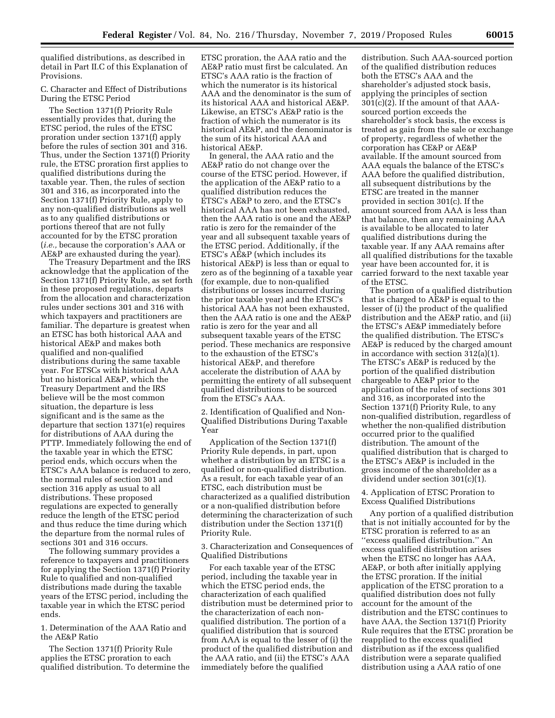qualified distributions, as described in detail in Part II.C of this Explanation of Provisions.

# C. Character and Effect of Distributions During the ETSC Period

The Section 1371(f) Priority Rule essentially provides that, during the ETSC period, the rules of the ETSC proration under section 1371(f) apply before the rules of section 301 and 316. Thus, under the Section 1371(f) Priority rule, the ETSC proration first applies to qualified distributions during the taxable year. Then, the rules of section 301 and 316, as incorporated into the Section 1371(f) Priority Rule, apply to any non-qualified distributions as well as to any qualified distributions or portions thereof that are not fully accounted for by the ETSC proration (*i.e.,* because the corporation's AAA or AE&P are exhausted during the year).

The Treasury Department and the IRS acknowledge that the application of the Section 1371(f) Priority Rule, as set forth in these proposed regulations, departs from the allocation and characterization rules under sections 301 and 316 with which taxpayers and practitioners are familiar. The departure is greatest when an ETSC has both historical AAA and historical AE&P and makes both qualified and non-qualified distributions during the same taxable year. For ETSCs with historical AAA but no historical AE&P, which the Treasury Department and the IRS believe will be the most common situation, the departure is less significant and is the same as the departure that section 1371(e) requires for distributions of AAA during the PTTP. Immediately following the end of the taxable year in which the ETSC period ends, which occurs when the ETSC's AAA balance is reduced to zero, the normal rules of section 301 and section 316 apply as usual to all distributions. These proposed regulations are expected to generally reduce the length of the ETSC period and thus reduce the time during which the departure from the normal rules of sections 301 and 316 occurs.

The following summary provides a reference to taxpayers and practitioners for applying the Section 1371(f) Priority Rule to qualified and non-qualified distributions made during the taxable years of the ETSC period, including the taxable year in which the ETSC period ends.

1. Determination of the AAA Ratio and the AE&P Ratio

The Section 1371(f) Priority Rule applies the ETSC proration to each qualified distribution. To determine the ETSC proration, the AAA ratio and the AE&P ratio must first be calculated. An ETSC's AAA ratio is the fraction of which the numerator is its historical AAA and the denominator is the sum of its historical AAA and historical AE&P. Likewise, an ETSC's AE&P ratio is the fraction of which the numerator is its historical AE&P, and the denominator is the sum of its historical AAA and historical AE&P.

In general, the AAA ratio and the AE&P ratio do not change over the course of the ETSC period. However, if the application of the AE&P ratio to a qualified distribution reduces the ETSC's AE&P to zero, and the ETSC's historical AAA has not been exhausted, then the AAA ratio is one and the AE&P ratio is zero for the remainder of the year and all subsequent taxable years of the ETSC period. Additionally, if the ETSC's AE&P (which includes its historical AE&P) is less than or equal to zero as of the beginning of a taxable year (for example, due to non-qualified distributions or losses incurred during the prior taxable year) and the ETSC's historical AAA has not been exhausted, then the AAA ratio is one and the AE&P ratio is zero for the year and all subsequent taxable years of the ETSC period. These mechanics are responsive to the exhaustion of the ETSC's historical AE&P, and therefore accelerate the distribution of AAA by permitting the entirety of all subsequent qualified distributions to be sourced from the ETSC's AAA.

2. Identification of Qualified and Non-Qualified Distributions During Taxable Year

Application of the Section 1371(f) Priority Rule depends, in part, upon whether a distribution by an ETSC is a qualified or non-qualified distribution. As a result, for each taxable year of an ETSC, each distribution must be characterized as a qualified distribution or a non-qualified distribution before determining the characterization of such distribution under the Section 1371(f) Priority Rule.

3. Characterization and Consequences of Qualified Distributions

For each taxable year of the ETSC period, including the taxable year in which the ETSC period ends, the characterization of each qualified distribution must be determined prior to the characterization of each nonqualified distribution. The portion of a qualified distribution that is sourced from AAA is equal to the lesser of (i) the product of the qualified distribution and the AAA ratio, and (ii) the ETSC's AAA immediately before the qualified

distribution. Such AAA-sourced portion of the qualified distribution reduces both the ETSC's AAA and the shareholder's adjusted stock basis, applying the principles of section  $301(c)(2)$ . If the amount of that AAAsourced portion exceeds the shareholder's stock basis, the excess is treated as gain from the sale or exchange of property, regardless of whether the corporation has CE&P or AE&P available. If the amount sourced from AAA equals the balance of the ETSC's AAA before the qualified distribution, all subsequent distributions by the ETSC are treated in the manner provided in section 301(c). If the amount sourced from AAA is less than that balance, then any remaining AAA is available to be allocated to later qualified distributions during the taxable year. If any AAA remains after all qualified distributions for the taxable year have been accounted for, it is carried forward to the next taxable year of the ETSC.

The portion of a qualified distribution that is charged to AE&P is equal to the lesser of (i) the product of the qualified distribution and the AE&P ratio, and (ii) the ETSC's AE&P immediately before the qualified distribution. The ETSC's AE&P is reduced by the charged amount in accordance with section 312(a)(1). The ETSC's AE&P is reduced by the portion of the qualified distribution chargeable to AE&P prior to the application of the rules of sections 301 and 316, as incorporated into the Section 1371(f) Priority Rule, to any non-qualified distribution, regardless of whether the non-qualified distribution occurred prior to the qualified distribution. The amount of the qualified distribution that is charged to the ETSC's AE&P is included in the gross income of the shareholder as a dividend under section 301(c)(1).

# 4. Application of ETSC Proration to Excess Qualified Distributions

Any portion of a qualified distribution that is not initially accounted for by the ETSC proration is referred to as an ''excess qualified distribution.'' An excess qualified distribution arises when the ETSC no longer has AAA, AE&P, or both after initially applying the ETSC proration. If the initial application of the ETSC proration to a qualified distribution does not fully account for the amount of the distribution and the ETSC continues to have AAA, the Section 1371(f) Priority Rule requires that the ETSC proration be reapplied to the excess qualified distribution as if the excess qualified distribution were a separate qualified distribution using a AAA ratio of one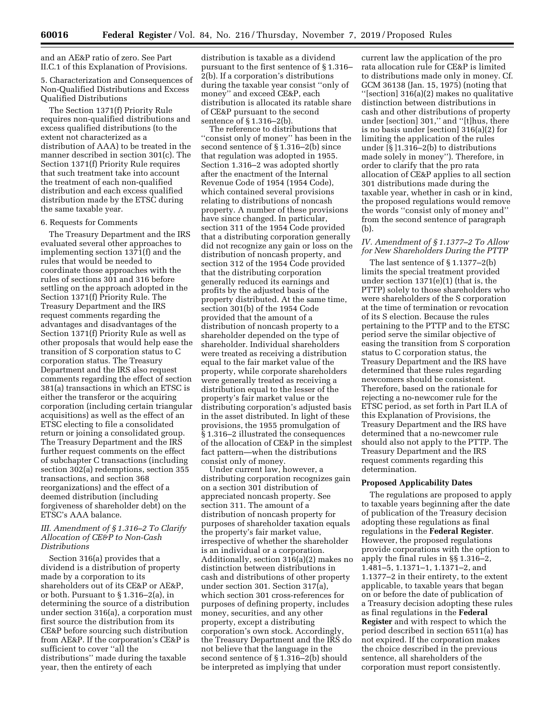and an AE&P ratio of zero. See Part II.C.1 of this Explanation of Provisions.

5. Characterization and Consequences of Non-Qualified Distributions and Excess Qualified Distributions

The Section 1371(f) Priority Rule requires non-qualified distributions and excess qualified distributions (to the extent not characterized as a distribution of AAA) to be treated in the manner described in section 301(c). The Section 1371(f) Priority Rule requires that such treatment take into account the treatment of each non-qualified distribution and each excess qualified distribution made by the ETSC during the same taxable year.

# 6. Requests for Comments

The Treasury Department and the IRS evaluated several other approaches to implementing section 1371(f) and the rules that would be needed to coordinate those approaches with the rules of sections 301 and 316 before settling on the approach adopted in the Section 1371(f) Priority Rule. The Treasury Department and the IRS request comments regarding the advantages and disadvantages of the Section 1371(f) Priority Rule as well as other proposals that would help ease the transition of S corporation status to C corporation status. The Treasury Department and the IRS also request comments regarding the effect of section 381(a) transactions in which an ETSC is either the transferor or the acquiring corporation (including certain triangular acquisitions) as well as the effect of an ETSC electing to file a consolidated return or joining a consolidated group. The Treasury Department and the IRS further request comments on the effect of subchapter C transactions (including section 302(a) redemptions, section 355 transactions, and section 368 reorganizations) and the effect of a deemed distribution (including forgiveness of shareholder debt) on the ETSC's AAA balance.

# *III. Amendment of § 1.316–2 To Clarify Allocation of CE&P to Non-Cash Distributions*

Section 316(a) provides that a dividend is a distribution of property made by a corporation to its shareholders out of its CE&P or AE&P, or both. Pursuant to § 1.316–2(a), in determining the source of a distribution under section 316(a), a corporation must first source the distribution from its CE&P before sourcing such distribution from AE&P. If the corporation's CE&P is sufficient to cover ''all the distributions'' made during the taxable year, then the entirety of each

distribution is taxable as a dividend pursuant to the first sentence of § 1.316– 2(b). If a corporation's distributions during the taxable year consist ''only of money'' and exceed CE&P, each distribution is allocated its ratable share of CE&P pursuant to the second sentence of § 1.316–2(b).

The reference to distributions that ''consist only of money'' has been in the second sentence of § 1.316–2(b) since that regulation was adopted in 1955. Section 1.316–2 was adopted shortly after the enactment of the Internal Revenue Code of 1954 (1954 Code), which contained several provisions relating to distributions of noncash property. A number of these provisions have since changed. In particular, section 311 of the 1954 Code provided that a distributing corporation generally did not recognize any gain or loss on the distribution of noncash property, and section 312 of the 1954 Code provided that the distributing corporation generally reduced its earnings and profits by the adjusted basis of the property distributed. At the same time, section 301(b) of the 1954 Code provided that the amount of a distribution of noncash property to a shareholder depended on the type of shareholder. Individual shareholders were treated as receiving a distribution equal to the fair market value of the property, while corporate shareholders were generally treated as receiving a distribution equal to the lesser of the property's fair market value or the distributing corporation's adjusted basis in the asset distributed. In light of these provisions, the 1955 promulgation of § 1.316–2 illustrated the consequences of the allocation of CE&P in the simplest fact pattern—when the distributions consist only of money.

Under current law, however, a distributing corporation recognizes gain on a section 301 distribution of appreciated noncash property. See section 311. The amount of a distribution of noncash property for purposes of shareholder taxation equals the property's fair market value, irrespective of whether the shareholder is an individual or a corporation. Additionally, section 316(a)(2) makes no distinction between distributions in cash and distributions of other property under section 301. Section 317(a), which section 301 cross-references for purposes of defining property, includes money, securities, and any other property, except a distributing corporation's own stock. Accordingly, the Treasury Department and the IRS do not believe that the language in the second sentence of § 1.316–2(b) should be interpreted as implying that under

current law the application of the pro rata allocation rule for CE&P is limited to distributions made only in money. Cf. GCM 36138 (Jan. 15, 1975) (noting that ''[section] 316(a)(2) makes no qualitative distinction between distributions in cash and other distributions of property under [section] 301,'' and ''[t]hus, there is no basis under [section] 316(a)(2) for limiting the application of the rules under [§ ]1.316–2(b) to distributions made solely in money''). Therefore, in order to clarify that the pro rata allocation of CE&P applies to all section 301 distributions made during the taxable year, whether in cash or in kind, the proposed regulations would remove the words ''consist only of money and'' from the second sentence of paragraph (b).

# *IV. Amendment of § 1.1377–2 To Allow for New Shareholders During the PTTP*

The last sentence of § 1.1377–2(b) limits the special treatment provided under section 1371(e)(1) (that is, the PTTP) solely to those shareholders who were shareholders of the S corporation at the time of termination or revocation of its S election. Because the rules pertaining to the PTTP and to the ETSC period serve the similar objective of easing the transition from S corporation status to C corporation status, the Treasury Department and the IRS have determined that these rules regarding newcomers should be consistent. Therefore, based on the rationale for rejecting a no-newcomer rule for the ETSC period, as set forth in Part II.A of this Explanation of Provisions, the Treasury Department and the IRS have determined that a no-newcomer rule should also not apply to the PTTP. The Treasury Department and the IRS request comments regarding this determination.

# **Proposed Applicability Dates**

The regulations are proposed to apply to taxable years beginning after the date of publication of the Treasury decision adopting these regulations as final regulations in the **Federal Register**. However, the proposed regulations provide corporations with the option to apply the final rules in §§ 1.316–2, 1.481–5, 1.1371–1, 1.1371–2, and 1.1377–2 in their entirety, to the extent applicable, to taxable years that began on or before the date of publication of a Treasury decision adopting these rules as final regulations in the **Federal Register** and with respect to which the period described in section 6511(a) has not expired. If the corporation makes the choice described in the previous sentence, all shareholders of the corporation must report consistently.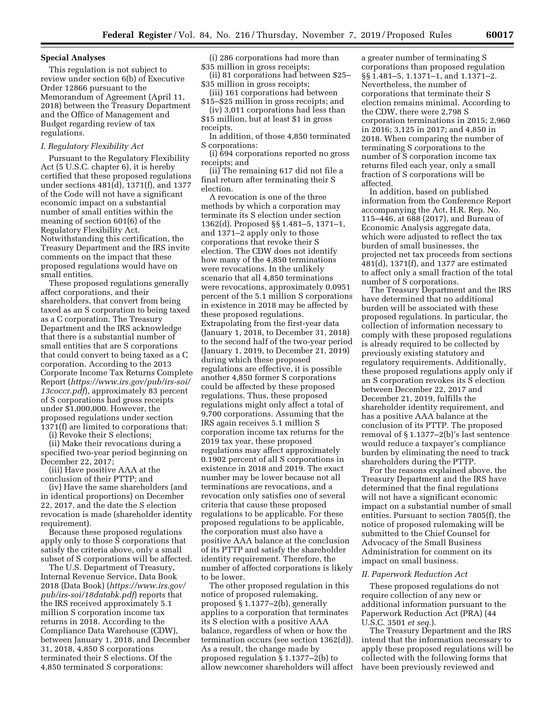# **Special Analyses**

This regulation is not subject to review under section 6(b) of Executive Order 12866 pursuant to the Memorandum of Agreement (April 11, 2018) between the Treasury Department and the Office of Management and Budget regarding review of tax regulations.

# *I. Regulatory Flexibility Act*

Pursuant to the Regulatory Flexibility Act (5 U.S.C. chapter 6), it is hereby certified that these proposed regulations under sections 481(d), 1371(f), and 1377 of the Code will not have a significant economic impact on a substantial number of small entities within the meaning of section 601(6) of the Regulatory Flexibility Act. Notwithstanding this certification, the Treasury Department and the IRS invite comments on the impact that these proposed regulations would have on small entities.

These proposed regulations generally affect corporations, and their shareholders, that convert from being taxed as an S corporation to being taxed as a C corporation. The Treasury Department and the IRS acknowledge that there is a substantial number of small entities that are S corporations that could convert to being taxed as a C corporation. According to the 2013 Corporate Income Tax Returns Complete Report (*[https://www.irs.gov/pub/irs-soi/](https://www.irs.gov/pub/irs-soi/13coccr.pdf) [13coccr.pdf](https://www.irs.gov/pub/irs-soi/13coccr.pdf)*), approximately 83 percent of S corporations had gross receipts under \$1,000,000. However, the proposed regulations under section 1371(f) are limited to corporations that:

(i) Revoke their S elections;

(ii) Make their revocations during a specified two-year period beginning on December 22, 2017;

(iii) Have positive AAA at the conclusion of their PTTP; and

(iv) Have the same shareholders (and in identical proportions) on December 22, 2017, and the date the S election revocation is made (shareholder identity requirement).

Because these proposed regulations apply only to those S corporations that satisfy the criteria above, only a small subset of S corporations will be affected.

The U.S. Department of Treasury, Internal Revenue Service, Data Book 2018 (Data Book) (*[https://www.irs.gov/](https://www.irs.gov/pub/irs-soi/18databk.pdf)  [pub/irs-soi/18databk.pdf](https://www.irs.gov/pub/irs-soi/18databk.pdf)*) reports that the IRS received approximately 5.1 million S corporation income tax returns in 2018. According to the Compliance Data Warehouse (CDW), between January 1, 2018, and December 31, 2018, 4,850 S corporations terminated their S elections. Of the 4,850 terminated S corporations:

(i) 286 corporations had more than \$35 million in gross receipts;

(ii) 81 corporations had between \$25– \$35 million in gross receipts;

(iii) 161 corporations had between \$15–\$25 million in gross receipts; and

(iv) 3,011 corporations had less than \$15 million, but at least \$1 in gross receipts.

In addition, of those 4,850 terminated S corporations:

(i) 694 corporations reported no gross receipts; and

(ii) The remaining 617 did not file a final return after terminating their S election.

A revocation is one of the three methods by which a corporation may terminate its S election under section 1362(d). Proposed §§ 1.481–5, 1371–1, and 1371–2 apply only to those corporations that revoke their S election. The CDW does not identify how many of the 4,850 terminations were revocations. In the unlikely scenario that all 4,850 terminations were revocations, approximately 0.0951 percent of the 5.1 million S corporations in existence in 2018 may be affected by these proposed regulations. Extrapolating from the first-year data (January 1, 2018, to December 31, 2018) to the second half of the two-year period (January 1, 2019, to December 21, 2019) during which these proposed regulations are effective, it is possible another 4,850 former S corporations could be affected by these proposed regulations. Thus, these proposed regulations might only affect a total of 9,700 corporations. Assuming that the IRS again receives 5.1 million S corporation income tax returns for the 2019 tax year, these proposed regulations may affect approximately 0.1902 percent of all S corporations in existence in 2018 and 2019. The exact number may be lower because not all terminations are revocations, and a revocation only satisfies one of several criteria that cause these proposed regulations to be applicable. For these proposed regulations to be applicable, the corporation must also have a positive AAA balance at the conclusion of its PTTP and satisfy the shareholder identity requirement. Therefore, the number of affected corporations is likely to be lower.

The other proposed regulation in this notice of proposed rulemaking, proposed § 1.1377–2(b), generally applies to a corporation that terminates its S election with a positive AAA balance, regardless of when or how the termination occurs (see section 1362(d)). As a result, the change made by proposed regulation § 1.1377–2(b) to allow newcomer shareholders will affect a greater number of terminating S corporations than proposed regulation §§ 1.481–5, 1.1371–1, and 1.1371–2. Nevertheless, the number of corporations that terminate their S election remains minimal. According to the CDW, there were 2,798 S corporation terminations in 2015; 2,960 in 2016; 3,125 in 2017; and 4,850 in 2018. When comparing the number of terminating S corporations to the number of S corporation income tax returns filed each year, only a small fraction of S corporations will be affected.

In addition, based on published information from the Conference Report accompanying the Act, H.R. Rep. No. 115–446, at 688 (2017), and Bureau of Economic Analysis aggregate data, which were adjusted to reflect the tax burden of small businesses, the projected net tax proceeds from sections 481(d), 1371(f), and 1377 are estimated to affect only a small fraction of the total number of S corporations.

The Treasury Department and the IRS have determined that no additional burden will be associated with these proposed regulations. In particular, the collection of information necessary to comply with these proposed regulations is already required to be collected by previously existing statutory and regulatory requirements. Additionally, these proposed regulations apply only if an S corporation revokes its S election between December 22, 2017 and December 21, 2019, fulfills the shareholder identity requirement, and has a positive AAA balance at the conclusion of its PTTP. The proposed removal of § 1.1377–2(b)'s last sentence would reduce a taxpayer's compliance burden by eliminating the need to track shareholders during the PTTP.

For the reasons explained above, the Treasury Department and the IRS have determined that the final regulations will not have a significant economic impact on a substantial number of small entities. Pursuant to section 7805(f), the notice of proposed rulemaking will be submitted to the Chief Counsel for Advocacy of the Small Business Administration for comment on its impact on small business.

#### *II. Paperwork Reduction Act*

These proposed regulations do not require collection of any new or additional information pursuant to the Paperwork Reduction Act (PRA) (44 U.S.C. 3501 *et seq.*).

The Treasury Department and the IRS intend that the information necessary to apply these proposed regulations will be collected with the following forms that have been previously reviewed and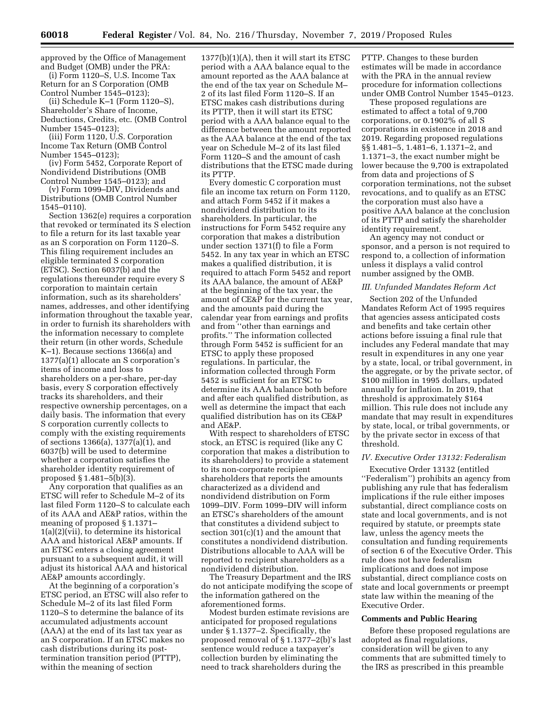approved by the Office of Management and Budget (OMB) under the PRA:

(i) Form 1120–S, U.S. Income Tax Return for an S Corporation (OMB Control Number 1545–0123);

(ii) Schedule K–1 (Form 1120–S), Shareholder's Share of Income, Deductions, Credits, etc. (OMB Control Number 1545–0123);

(iii) Form 1120, U.S. Corporation Income Tax Return (OMB Control Number 1545–0123);

(iv) Form 5452, Corporate Report of Nondividend Distributions (OMB Control Number 1545–0123); and

(v) Form 1099–DIV, Dividends and Distributions (OMB Control Number 1545–0110).

Section 1362(e) requires a corporation that revoked or terminated its S election to file a return for its last taxable year as an S corporation on Form 1120–S. This filing requirement includes an eligible terminated S corporation (ETSC). Section 6037(b) and the regulations thereunder require every S corporation to maintain certain information, such as its shareholders' names, addresses, and other identifying information throughout the taxable year, in order to furnish its shareholders with the information necessary to complete their return (in other words, Schedule K–1). Because sections 1366(a) and 1377(a)(1) allocate an S corporation's items of income and loss to shareholders on a per-share, per-day basis, every S corporation effectively tracks its shareholders, and their respective ownership percentages, on a daily basis. The information that every S corporation currently collects to comply with the existing requirements of sections 1366(a), 1377(a)(1), and 6037(b) will be used to determine whether a corporation satisfies the shareholder identity requirement of proposed § 1.481–5(b)(3).

Any corporation that qualifies as an ETSC will refer to Schedule M–2 of its last filed Form 1120–S to calculate each of its AAA and AE&P ratios, within the meaning of proposed § 1.1371– 1(a)(2)(vii), to determine its historical AAA and historical AE&P amounts. If an ETSC enters a closing agreement pursuant to a subsequent audit, it will adjust its historical AAA and historical AE&P amounts accordingly.

At the beginning of a corporation's ETSC period, an ETSC will also refer to Schedule M–2 of its last filed Form 1120–S to determine the balance of its accumulated adjustments account (AAA) at the end of its last tax year as an S corporation. If an ETSC makes no cash distributions during its posttermination transition period (PTTP), within the meaning of section

 $1377(b)(1)(A)$ , then it will start its ETSC period with a AAA balance equal to the amount reported as the AAA balance at the end of the tax year on Schedule M– 2 of its last filed Form 1120–S. If an ETSC makes cash distributions during its PTTP, then it will start its ETSC period with a AAA balance equal to the difference between the amount reported as the AAA balance at the end of the tax year on Schedule M–2 of its last filed Form 1120–S and the amount of cash distributions that the ETSC made during its PTTP.

Every domestic C corporation must file an income tax return on Form 1120, and attach Form 5452 if it makes a nondividend distribution to its shareholders. In particular, the instructions for Form 5452 require any corporation that makes a distribution under section 1371(f) to file a Form 5452. In any tax year in which an ETSC makes a qualified distribution, it is required to attach Form 5452 and report its AAA balance, the amount of AE&P at the beginning of the tax year, the amount of CE&P for the current tax year, and the amounts paid during the calendar year from earnings and profits and from ''other than earnings and profits.'' The information collected through Form 5452 is sufficient for an ETSC to apply these proposed regulations. In particular, the information collected through Form 5452 is sufficient for an ETSC to determine its AAA balance both before and after each qualified distribution, as well as determine the impact that each qualified distribution has on its CE&P and AE&P.

With respect to shareholders of ETSC stock, an ETSC is required (like any C corporation that makes a distribution to its shareholders) to provide a statement to its non-corporate recipient shareholders that reports the amounts characterized as a dividend and nondividend distribution on Form 1099–DIV. Form 1099–DIV will inform an ETSC's shareholders of the amount that constitutes a dividend subject to section 301(c)(1) and the amount that constitutes a nondividend distribution. Distributions allocable to AAA will be reported to recipient shareholders as a nondividend distribution.

The Treasury Department and the IRS do not anticipate modifying the scope of the information gathered on the aforementioned forms.

Modest burden estimate revisions are anticipated for proposed regulations under § 1.1377–2. Specifically, the proposed removal of § 1.1377–2(b)'s last sentence would reduce a taxpayer's collection burden by eliminating the need to track shareholders during the

PTTP. Changes to these burden estimates will be made in accordance with the PRA in the annual review procedure for information collections under OMB Control Number 1545–0123.

These proposed regulations are estimated to affect a total of 9,700 corporations, or 0.1902% of all S corporations in existence in 2018 and 2019. Regarding proposed regulations §§ 1.481–5, 1.481–6, 1.1371–2, and 1.1371–3, the exact number might be lower because the 9,700 is extrapolated from data and projections of S corporation terminations, not the subset revocations, and to qualify as an ETSC the corporation must also have a positive AAA balance at the conclusion of its PTTP and satisfy the shareholder identity requirement.

An agency may not conduct or sponsor, and a person is not required to respond to, a collection of information unless it displays a valid control number assigned by the OMB.

# *III. Unfunded Mandates Reform Act*

Section 202 of the Unfunded Mandates Reform Act of 1995 requires that agencies assess anticipated costs and benefits and take certain other actions before issuing a final rule that includes any Federal mandate that may result in expenditures in any one year by a state, local, or tribal government, in the aggregate, or by the private sector, of \$100 million in 1995 dollars, updated annually for inflation. In 2019, that threshold is approximately \$164 million. This rule does not include any mandate that may result in expenditures by state, local, or tribal governments, or by the private sector in excess of that threshold.

# *IV. Executive Order 13132: Federalism*

Executive Order 13132 (entitled ''Federalism'') prohibits an agency from publishing any rule that has federalism implications if the rule either imposes substantial, direct compliance costs on state and local governments, and is not required by statute, or preempts state law, unless the agency meets the consultation and funding requirements of section 6 of the Executive Order. This rule does not have federalism implications and does not impose substantial, direct compliance costs on state and local governments or preempt state law within the meaning of the Executive Order.

#### **Comments and Public Hearing**

Before these proposed regulations are adopted as final regulations, consideration will be given to any comments that are submitted timely to the IRS as prescribed in this preamble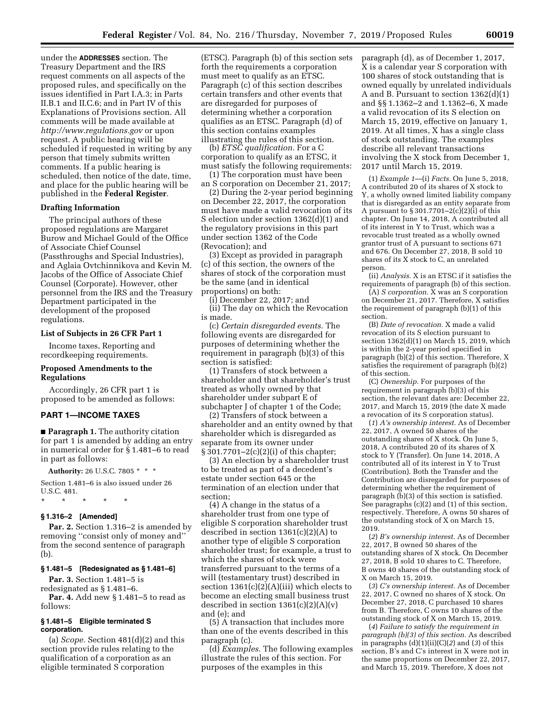under the **ADDRESSES** section. The Treasury Department and the IRS request comments on all aspects of the proposed rules, and specifically on the issues identified in Part I.A.3; in Parts II.B.1 and II.C.6; and in Part IV of this Explanations of Provisions section. All comments will be made available at *<http://www.regulations.gov>* or upon request. A public hearing will be scheduled if requested in writing by any person that timely submits written comments. If a public hearing is scheduled, then notice of the date, time, and place for the public hearing will be published in the **Federal Register**.

# **Drafting Information**

The principal authors of these proposed regulations are Margaret Burow and Michael Gould of the Office of Associate Chief Counsel (Passthroughs and Special Industries), and Aglaia Ovtchinnikova and Kevin M. Jacobs of the Office of Associate Chief Counsel (Corporate). However, other personnel from the IRS and the Treasury Department participated in the development of the proposed regulations.

# **List of Subjects in 26 CFR Part 1**

Income taxes, Reporting and recordkeeping requirements.

# **Proposed Amendments to the Regulations**

Accordingly, 26 CFR part 1 is proposed to be amended as follows:

# **PART 1—INCOME TAXES**

■ **Paragraph 1.** The authority citation for part 1 is amended by adding an entry in numerical order for § 1.481–6 to read in part as follows:

**Authority:** 26 U.S.C. 7805 \* \* \*

Section 1.481–6 is also issued under 26 U.S.C. 481.

\* \* \* \* \*

#### **§ 1.316–2 [Amended]**

Par. 2. Section 1.316–2 is amended by removing ''consist only of money and'' from the second sentence of paragraph (b).

#### **§ 1.481–5 [Redesignated as § 1.481–6]**

**Par. 3.** Section 1.481–5 is redesignated as § 1.481–6.

**Par. 4.** Add new § 1.481–5 to read as follows:

# **§ 1.481–5 Eligible terminated S corporation.**

(a) *Scope.* Section 481(d)(2) and this section provide rules relating to the qualification of a corporation as an eligible terminated S corporation

(ETSC). Paragraph (b) of this section sets forth the requirements a corporation must meet to qualify as an ETSC. Paragraph (c) of this section describes certain transfers and other events that are disregarded for purposes of determining whether a corporation qualifies as an ETSC. Paragraph (d) of this section contains examples illustrating the rules of this section.

(b) *ETSC qualification.* For a C corporation to qualify as an ETSC, it must satisfy the following requirements:

(1) The corporation must have been an S corporation on December 21, 2017;

(2) During the 2-year period beginning on December 22, 2017, the corporation must have made a valid revocation of its S election under section 1362(d)(1) and the regulatory provisions in this part under section 1362 of the Code (Revocation); and

(3) Except as provided in paragraph (c) of this section, the owners of the shares of stock of the corporation must be the same (and in identical proportions) on both:

(i) December 22, 2017; and

(ii) The day on which the Revocation is made.

(c) *Certain disregarded events.* The following events are disregarded for purposes of determining whether the requirement in paragraph (b)(3) of this section is satisfied:

(1) Transfers of stock between a shareholder and that shareholder's trust treated as wholly owned by that shareholder under subpart E of subchapter J of chapter 1 of the Code;

(2) Transfers of stock between a shareholder and an entity owned by that shareholder which is disregarded as separate from its owner under § 301.7701–2(c)(2)(i) of this chapter;

(3) An election by a shareholder trust to be treated as part of a decedent's estate under section 645 or the termination of an election under that section;

(4) A change in the status of a shareholder trust from one type of eligible S corporation shareholder trust described in section 1361(c)(2)(A) to another type of eligible S corporation shareholder trust; for example, a trust to which the shares of stock were transferred pursuant to the terms of a will (testamentary trust) described in section  $1361(c)(2)(A)(iii)$  which elects to become an electing small business trust described in section  $1361(c)(2)(A)(v)$ and (e); and

(5) A transaction that includes more than one of the events described in this paragraph (c).

(d) *Examples.* The following examples illustrate the rules of this section. For purposes of the examples in this

paragraph (d), as of December 1, 2017, X is a calendar year S corporation with 100 shares of stock outstanding that is owned equally by unrelated individuals A and B. Pursuant to section 1362(d)(1) and §§ 1.1362–2 and 1.1362–6, X made a valid revocation of its S election on March 15, 2019, effective on January 1, 2019. At all times, X has a single class of stock outstanding. The examples describe all relevant transactions involving the X stock from December 1, 2017 until March 15, 2019.

(1) *Example 1*—(i) *Facts.* On June 5, 2018, A contributed 20 of its shares of X stock to Y, a wholly owned limited liability company that is disregarded as an entity separate from A pursuant to  $\S 301.7701 - 2(c)(2)(i)$  of this chapter. On June 14, 2018, A contributed all of its interest in Y to Trust, which was a revocable trust treated as a wholly owned grantor trust of A pursuant to sections 671 and 676. On December 27, 2018, B sold 10 shares of its X stock to C, an unrelated person.

(ii) *Analysis.* X is an ETSC if it satisfies the requirements of paragraph (b) of this section.

(A) *S corporation.* X was an S corporation on December 21, 2017. Therefore, X satisfies the requirement of paragraph (b)(1) of this section.

(B) *Date of revocation.* X made a valid revocation of its S election pursuant to section 1362(d)(1) on March 15, 2019, which is within the 2-year period specified in paragraph (b)(2) of this section. Therefore, X satisfies the requirement of paragraph (b)(2) of this section.

(C) *Ownership.* For purposes of the requirement in paragraph (b)(3) of this section, the relevant dates are: December 22, 2017, and March 15, 2019 (the date X made a revocation of its S corporation status).

(*1*) *A's ownership interest.* As of December 22, 2017, A owned 50 shares of the outstanding shares of X stock. On June 5, 2018, A contributed 20 of its shares of X stock to Y (Transfer). On June 14, 2018, A contributed all of its interest in Y to Trust (Contribution). Both the Transfer and the Contribution are disregarded for purposes of determining whether the requirement of paragraph (b)(3) of this section is satisfied. See paragraphs (c)(2) and (1) of this section, respectively. Therefore, A owns 50 shares of the outstanding stock of X on March 15, 2019.

(*2*) *B's ownership interest.* As of December 22, 2017, B owned 50 shares of the outstanding shares of X stock. On December 27, 2018, B sold 10 shares to C. Therefore, B owns 40 shares of the outstanding stock of X on March 15, 2019.

(*3*) *C's ownership interest.* As of December 22, 2017, C owned no shares of X stock. On December 27, 2018, C purchased 10 shares from B. Therefore, C owns 10 shares of the outstanding stock of X on March 15, 2019.

(*4*) *Failure to satisfy the requirement in paragraph (b)(3) of this section.* As described in paragraphs (d)(1)(ii)(C)(*2*) and (*3*) of this section, B's and C's interest in X were not in the same proportions on December 22, 2017, and March 15, 2019. Therefore, X does not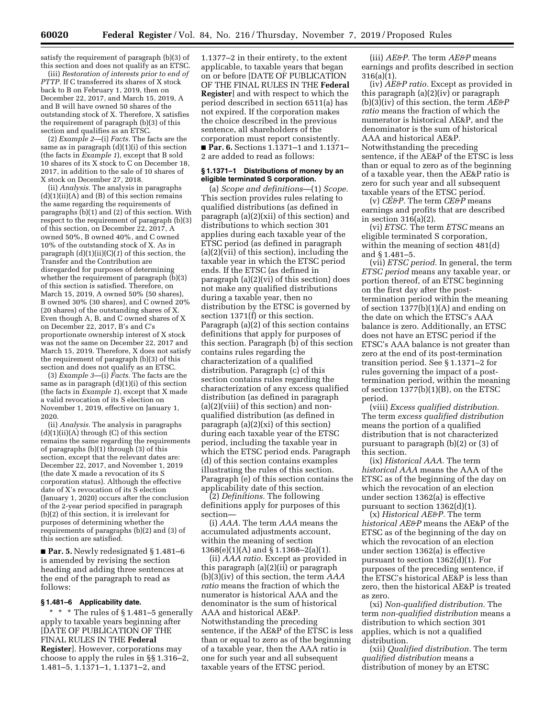satisfy the requirement of paragraph (b)(3) of this section and does not qualify as an ETSC.

(iii) *Restoration of interests prior to end of PTTP.* If C transferred its shares of X stock back to B on February 1, 2019, then on December 22, 2017, and March 15, 2019, A and B will have owned 50 shares of the outstanding stock of X. Therefore, X satisfies the requirement of paragraph (b)(3) of this section and qualifies as an ETSC.

(2) *Example 2*—(i) *Facts.* The facts are the same as in paragraph (d)(1)(i) of this section (the facts in *Example 1*), except that B sold 10 shares of its X stock to C on December 18, 2017, in addition to the sale of 10 shares of X stock on December 27, 2018.

(ii) *Analysis.* The analysis in paragraphs  $(d)(1)(ii)(A)$  and  $(B)$  of this section remains the same regarding the requirements of paragraphs (b)(1) and (2) of this section. With respect to the requirement of paragraph (b)(3) of this section, on December 22, 2017, A owned 50%, B owned 40%, and C owned 10% of the outstanding stock of X. As in paragraph  $(d)(1)(ii)(C)(1)$  of this section, the Transfer and the Contribution are disregarded for purposes of determining whether the requirement of paragraph  $(b)(3)$ of this section is satisfied. Therefore, on March 15, 2019, A owned 50% (50 shares), B owned 30% (30 shares), and C owned 20% (20 shares) of the outstanding shares of X. Even though A, B, and C owned shares of X on December 22, 2017, B's and C's proportionate ownership interest of X stock was not the same on December 22, 2017 and March 15, 2019. Therefore, X does not satisfy the requirement of paragraph (b)(3) of this section and does not qualify as an ETSC.

(3) *Example 3*—(i) *Facts.* The facts are the same as in paragraph (d)(1)(i) of this section (the facts in *Example 1*), except that X made a valid revocation of its S election on November 1, 2019, effective on January 1, 2020.

(ii) *Analysis.* The analysis in paragraphs  $(d)(1)(ii)(A)$  through  $(C)$  of this section remains the same regarding the requirements of paragraphs (b)(1) through (3) of this section, except that the relevant dates are: December 22, 2017, and November 1, 2019 (the date X made a revocation of its S corporation status). Although the effective date of X's revocation of its S election (January 1, 2020) occurs after the conclusion of the 2-year period specified in paragraph (b)(2) of this section, it is irrelevant for purposes of determining whether the requirements of paragraphs (b)(2) and (3) of this section are satisfied.

■ **Par. 5.** Newly redesignated § 1.481–6 is amended by revising the section heading and adding three sentences at the end of the paragraph to read as follows:

# **§ 1.481–6 Applicability date.**

\* \* \* The rules of § 1.481–5 generally apply to taxable years beginning after [DATE OF PUBLICATION OF THE FINAL RULES IN THE **Federal Register**]. However, corporations may choose to apply the rules in §§ 1.316–2, 1.481–5, 1.1371–1, 1.1371–2, and

1.1377–2 in their entirety, to the extent applicable, to taxable years that began on or before [DATE OF PUBLICATION OF THE FINAL RULES IN THE **Federal Register**] and with respect to which the period described in section 6511(a) has not expired. If the corporation makes the choice described in the previous sentence, all shareholders of the corporation must report consistently. ■ **Par. 6.** Sections 1.1371–1 and 1.1371–

2 are added to read as follows:

# **§ 1.1371–1 Distributions of money by an eligible terminated S corporation.**

(a) *Scope and definitions*—(1) *Scope.*  This section provides rules relating to qualified distributions (as defined in paragraph (a)(2)(xii) of this section) and distributions to which section 301 applies during each taxable year of the ETSC period (as defined in paragraph (a)(2)(vii) of this section), including the taxable year in which the ETSC period ends. If the ETSC (as defined in paragraph (a)(2)(vi) of this section) does not make any qualified distributions during a taxable year, then no distribution by the ETSC is governed by section 1371(f) or this section. Paragraph (a)(2) of this section contains definitions that apply for purposes of this section. Paragraph (b) of this section contains rules regarding the characterization of a qualified distribution. Paragraph (c) of this section contains rules regarding the characterization of any excess qualified distribution (as defined in paragraph (a)(2)(viii) of this section) and nonqualified distribution (as defined in paragraph (a)(2)(xi) of this section) during each taxable year of the ETSC period, including the taxable year in which the ETSC period ends. Paragraph (d) of this section contains examples illustrating the rules of this section. Paragraph (e) of this section contains the applicability date of this section.

(2) *Definitions.* The following definitions apply for purposes of this section—

(i) *AAA.* The term *AAA* means the accumulated adjustments account, within the meaning of section 1368(e)(1)(A) and § 1.1368–2(a)(1).

(ii) *AAA ratio.* Except as provided in this paragraph (a)(2)(ii) or paragraph (b)(3)(iv) of this section, the term *AAA ratio* means the fraction of which the numerator is historical AAA and the denominator is the sum of historical AAA and historical AE&P. Notwithstanding the preceding sentence, if the AE&P of the ETSC is less than or equal to zero as of the beginning of a taxable year, then the AAA ratio is one for such year and all subsequent taxable years of the ETSC period.

(iii) *AE&P.* The term *AE&P* means earnings and profits described in section 316(a)(1).

(iv) *AE&P ratio.* Except as provided in this paragraph (a)(2)(iv) or paragraph (b)(3)(iv) of this section, the term *AE&P ratio* means the fraction of which the numerator is historical AE&P, and the denominator is the sum of historical AAA and historical AE&P. Notwithstanding the preceding sentence, if the AE&P of the ETSC is less than or equal to zero as of the beginning of a taxable year, then the AE&P ratio is zero for such year and all subsequent taxable years of the ETSC period.

(v) *CE&P.* The term *CE&P* means earnings and profits that are described in section 316(a)(2).

(vi) *ETSC.* The term *ETSC* means an eligible terminated S corporation, within the meaning of section 481(d) and § 1.481–5.

(vii) *ETSC period.* In general, the term *ETSC period* means any taxable year, or portion thereof, of an ETSC beginning on the first day after the posttermination period within the meaning of section 1377(b)(1)(A) and ending on the date on which the ETSC's AAA balance is zero. Additionally, an ETSC does not have an ETSC period if the ETSC's AAA balance is not greater than zero at the end of its post-termination transition period. See § 1.1371–2 for rules governing the impact of a posttermination period, within the meaning of section 1377(b)(1)(B), on the ETSC period.

(viii) *Excess qualified distribution.*  The term *excess qualified distribution*  means the portion of a qualified distribution that is not characterized pursuant to paragraph (b)(2) or (3) of this section.

(ix) *Historical AAA.* The term *historical AAA* means the AAA of the ETSC as of the beginning of the day on which the revocation of an election under section 1362(a) is effective pursuant to section 1362(d)(1).

(x) *Historical AE&P.* The term *historical AE&P* means the AE&P of the ETSC as of the beginning of the day on which the revocation of an election under section 1362(a) is effective pursuant to section 1362(d)(1). For purposes of the preceding sentence, if the ETSC's historical AE&P is less than zero, then the historical AE&P is treated as zero.

(xi) *Non-qualified distribution.* The term *non-qualified distribution* means a distribution to which section 301 applies, which is not a qualified distribution.

(xii) *Qualified distribution.* The term *qualified distribution* means a distribution of money by an ETSC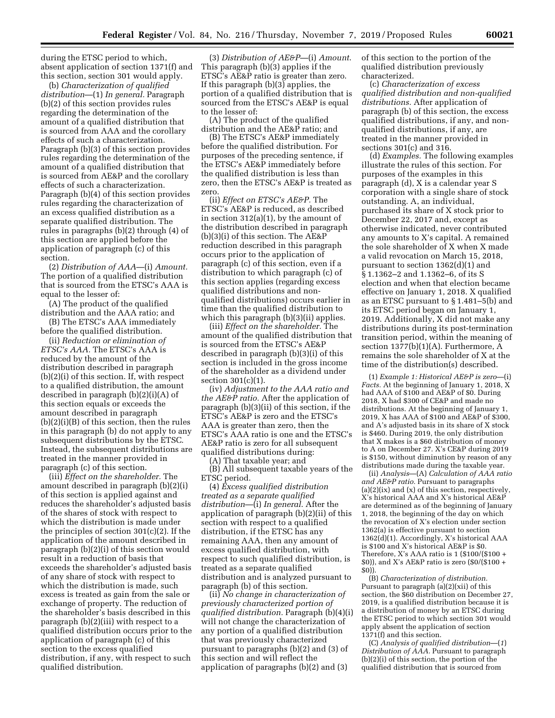during the ETSC period to which, absent application of section 1371(f) and this section, section 301 would apply.

(b) *Characterization of qualified distribution*—(1) *In general.* Paragraph (b)(2) of this section provides rules regarding the determination of the amount of a qualified distribution that is sourced from AAA and the corollary effects of such a characterization. Paragraph (b)(3) of this section provides rules regarding the determination of the amount of a qualified distribution that is sourced from AE&P and the corollary effects of such a characterization. Paragraph (b)(4) of this section provides rules regarding the characterization of an excess qualified distribution as a separate qualified distribution. The rules in paragraphs (b)(2) through (4) of this section are applied before the application of paragraph (c) of this section.

(2) *Distribution of AAA*—(i) *Amount.*  The portion of a qualified distribution that is sourced from the ETSC's AAA is equal to the lesser of:

(A) The product of the qualified distribution and the AAA ratio; and

(B) The ETSC's AAA immediately before the qualified distribution.

(ii) *Reduction or elimination of ETSC's AAA.* The ETSC's AAA is reduced by the amount of the distribution described in paragraph (b)(2)(i) of this section. If, with respect to a qualified distribution, the amount described in paragraph (b)(2)(i)(A) of this section equals or exceeds the amount described in paragraph (b)(2)(i)(B) of this section, then the rules in this paragraph (b) do not apply to any subsequent distributions by the ETSC. Instead, the subsequent distributions are treated in the manner provided in paragraph (c) of this section.

(iii) *Effect on the shareholder.* The amount described in paragraph (b)(2)(i) of this section is applied against and reduces the shareholder's adjusted basis of the shares of stock with respect to which the distribution is made under the principles of section 301(c)(2). If the application of the amount described in paragraph (b)(2)(i) of this section would result in a reduction of basis that exceeds the shareholder's adjusted basis of any share of stock with respect to which the distribution is made, such excess is treated as gain from the sale or exchange of property. The reduction of the shareholder's basis described in this paragraph (b)(2)(iii) with respect to a qualified distribution occurs prior to the application of paragraph (c) of this section to the excess qualified distribution, if any, with respect to such qualified distribution.

(3) *Distribution of AE&P*—(i) *Amount*. This paragraph (b)(3) applies if the ETSC's AE&P ratio is greater than zero. If this paragraph (b)(3) applies, the portion of a qualified distribution that is sourced from the ETSC's AE&P is equal to the lesser of:

(A) The product of the qualified distribution and the AE&P ratio; and

(B) The ETSC's AE&P immediately before the qualified distribution. For purposes of the preceding sentence, if the ETSC's AE&P immediately before the qualified distribution is less than zero, then the ETSC's AE&P is treated as zero.

(ii) *Effect on ETSC's AE&P.* The ETSC's AE&P is reduced, as described in section 312(a)(1), by the amount of the distribution described in paragraph (b)(3)(i) of this section. The AE&P reduction described in this paragraph occurs prior to the application of paragraph (c) of this section, even if a distribution to which paragraph (c) of this section applies (regarding excess qualified distributions and nonqualified distributions) occurs earlier in time than the qualified distribution to which this paragraph (b)(3)(ii) applies.

(iii) *Effect on the shareholder.* The amount of the qualified distribution that is sourced from the ETSC's AE&P described in paragraph (b)(3)(i) of this section is included in the gross income of the shareholder as a dividend under section 301(c)(1).

(iv) *Adjustment to the AAA ratio and the AE&P ratio.* After the application of paragraph (b)(3)(ii) of this section, if the ETSC's AE&P is zero and the ETSC's AAA is greater than zero, then the ETSC's AAA ratio is one and the ETSC's AE&P ratio is zero for all subsequent qualified distributions during:

(A) That taxable year; and (B) All subsequent taxable years of the

ETSC period. (4) *Excess qualified distribution treated as a separate qualified distribution*—(i) *In general*. After the application of paragraph (b)(2)(ii) of this section with respect to a qualified

distribution, if the ETSC has any remaining AAA, then any amount of excess qualified distribution, with respect to such qualified distribution, is treated as a separate qualified distribution and is analyzed pursuant to paragraph (b) of this section.

(ii) *No change in characterization of previously characterized portion of qualified distribution.* Paragraph (b)(4)(i) will not change the characterization of any portion of a qualified distribution that was previously characterized pursuant to paragraphs (b)(2) and (3) of this section and will reflect the application of paragraphs (b)(2) and (3)

of this section to the portion of the qualified distribution previously characterized.

(c) *Characterization of excess qualified distribution and non-qualified distributions.* After application of paragraph (b) of this section, the excess qualified distributions, if any, and nonqualified distributions, if any, are treated in the manner provided in sections 301(c) and 316.

(d) *Examples.* The following examples illustrate the rules of this section. For purposes of the examples in this paragraph (d), X is a calendar year S corporation with a single share of stock outstanding. A, an individual, purchased its share of X stock prior to December 22, 2017 and, except as otherwise indicated, never contributed any amounts to X's capital. A remained the sole shareholder of X when X made a valid revocation on March 15, 2018, pursuant to section 1362(d)(1) and § 1.1362–2 and 1.1362–6, of its S election and when that election became effective on January 1, 2018. X qualified as an ETSC pursuant to § 1.481–5(b) and its ETSC period began on January 1, 2019. Additionally, X did not make any distributions during its post-termination transition period, within the meaning of section 1377(b)(1)(A). Furthermore, A remains the sole shareholder of X at the time of the distribution(s) described.

(1) *Example 1: Historical AE&P is zero*—(i) *Facts.* At the beginning of January 1, 2018, X had AAA of \$100 and AE&P of \$0. During 2018, X had \$300 of CE&P and made no distributions. At the beginning of January 1, 2019, X has AAA of \$100 and AE&P of \$300, and A's adjusted basis in its share of X stock is \$460. During 2019, the only distribution that X makes is a \$60 distribution of money to A on December 27. X's CE&P during 2019 is \$150, without diminution by reason of any distributions made during the taxable year.

(ii) *Analysis*—(A) *Calculation of AAA ratio and AE&P ratio.* Pursuant to paragraphs (a)(2)(ix) and (x) of this section, respectively, X's historical AAA and X's historical AE&P are determined as of the beginning of January 1, 2018, the beginning of the day on which the revocation of X's election under section 1362(a) is effective pursuant to section 1362(d)(1). Accordingly, X's historical AAA is \$100 and X's historical AE&P is \$0. Therefore, X's AAA ratio is  $1$  (\$100/(\$100 + \$0)), and X's AE&P ratio is zero (\$0/(\$100 + \$0)).

(B) *Characterization of distribution.*  Pursuant to paragraph (a)(2)(xii) of this section, the \$60 distribution on December 27, 2019, is a qualified distribution because it is a distribution of money by an ETSC during the ETSC period to which section 301 would apply absent the application of section 1371(f) and this section.

(C) *Analysis of qualified distribution*—(*1*) *Distribution of AAA.* Pursuant to paragraph (b)(2)(i) of this section, the portion of the qualified distribution that is sourced from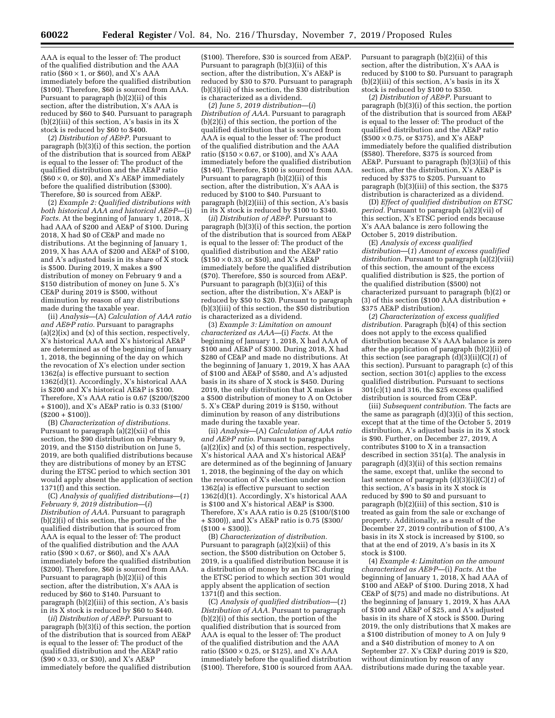AAA is equal to the lesser of: The product of the qualified distribution and the AAA ratio ( $$60 \times 1$ , or \$60), and X's AAA immediately before the qualified distribution (\$100). Therefore, \$60 is sourced from AAA. Pursuant to paragraph (b)(2)(ii) of this section, after the distribution, X's AAA is reduced by \$60 to \$40. Pursuant to paragraph (b)(2)(iii) of this section, A's basis in its X stock is reduced by \$60 to \$400.

(*2*) *Distribution of AE&P.* Pursuant to paragraph (b)(3)(i) of this section, the portion of the distribution that is sourced from AE&P is equal to the lesser of: The product of the qualified distribution and the AE&P ratio  $(\$60 \times 0$ , or \$0), and X's AE&P immediately before the qualified distribution (\$300). Therefore, \$0 is sourced from AE&P.

(2) *Example 2: Qualified distributions with both historical AAA and historical AE&P*—(i) *Facts.* At the beginning of January 1, 2018, X had AAA of \$200 and AE&P of \$100. During 2018, X had \$0 of CE&P and made no distributions. At the beginning of January 1, 2019, X has AAA of \$200 and AE&P of \$100, and A's adjusted basis in its share of X stock is \$500. During 2019, X makes a \$90 distribution of money on February 9 and a \$150 distribution of money on June 5. X's CE&P during 2019 is \$500, without diminution by reason of any distributions made during the taxable year.

(ii) *Analysis*—(A) *Calculation of AAA ratio and AE&P ratio.* Pursuant to paragraphs  $(a)(2)(ix)$  and  $(x)$  of this section, respectively, X's historical AAA and X's historical AE&P are determined as of the beginning of January 1, 2018, the beginning of the day on which the revocation of X's election under section 1362(a) is effective pursuant to section 1362(d)(1). Accordingly, X's historical AAA is \$200 and X's historical AE&P is \$100. Therefore, X's AAA ratio is 0.67 (\$200/(\$200 + \$100)), and X's AE&P ratio is 0.33 (\$100/  $(S200 + S100)$ .

(B) *Characterization of distributions.*  Pursuant to paragraph (a)(2)(xii) of this section, the \$90 distribution on February 9, 2019, and the \$150 distribution on June 5, 2019, are both qualified distributions because they are distributions of money by an ETSC during the ETSC period to which section 301 would apply absent the application of section 1371(f) and this section.

(C) *Analysis of qualified distributions*—(*1*) *February 9, 2019 distribution*—(*i*) *Distribution of AAA.* Pursuant to paragraph (b)(2)(i) of this section, the portion of the qualified distribution that is sourced from AAA is equal to the lesser of: The product of the qualified distribution and the AAA ratio ( $$90 \times 0.67$ , or \$60), and X's AAA immediately before the qualified distribution (\$200). Therefore, \$60 is sourced from AAA. Pursuant to paragraph (b)(2)(ii) of this section, after the distribution, X's AAA is reduced by \$60 to \$140. Pursuant to paragraph (b)(2)(iii) of this section, A's basis in its X stock is reduced by \$60 to \$440.

(*ii*) *Distribution of AE&P.* Pursuant to paragraph (b)(3)(i) of this section, the portion of the distribution that is sourced from AE&P is equal to the lesser of: The product of the qualified distribution and the AE&P ratio (\$90 × 0.33, or \$30), and X's AE&P immediately before the qualified distribution

(\$100). Therefore, \$30 is sourced from AE&P. Pursuant to paragraph (b)(3)(ii) of this section, after the distribution, X's AE&P is reduced by \$30 to \$70. Pursuant to paragraph (b)(3)(iii) of this section, the \$30 distribution is characterized as a dividend.

(*2*) *June 5, 2019 distribution*—(*i*) *Distribution of AAA.* Pursuant to paragraph (b)(2)(i) of this section, the portion of the qualified distribution that is sourced from AAA is equal to the lesser of: The product of the qualified distribution and the AAA ratio ( $$150 \times 0.67$ , or \$100), and X's AAA immediately before the qualified distribution (\$140). Therefore, \$100 is sourced from AAA. Pursuant to paragraph (b)(2)(ii) of this section, after the distribution, X's AAA is reduced by \$100 to \$40. Pursuant to paragraph (b)(2)(iii) of this section, A's basis in its X stock is reduced by \$100 to \$340.

(*ii*) *Distribution of AE&P.* Pursuant to paragraph (b)(3)(i) of this section, the portion of the distribution that is sourced from AE&P is equal to the lesser of: The product of the qualified distribution and the AE&P ratio  $($150 \times 0.33$, or $50], and X's AE&P$ immediately before the qualified distribution (\$70). Therefore, \$50 is sourced from AE&P. Pursuant to paragraph (b)(3)(ii) of this section, after the distribution, X's AE&P is reduced by \$50 to \$20. Pursuant to paragraph (b)(3)(iii) of this section, the \$50 distribution is characterized as a dividend.

(3) *Example 3: Limitation on amount characterized as AAA*—(i) *Facts.* At the beginning of January 1, 2018, X had AAA of \$100 and AE&P of \$300. During 2018, X had \$280 of CE&P and made no distributions. At the beginning of January 1, 2019, X has AAA of \$100 and AE&P of \$580, and A's adjusted basis in its share of X stock is \$450. During 2019, the only distribution that X makes is a \$500 distribution of money to A on October 5. X's CE&P during 2019 is \$150, without diminution by reason of any distributions made during the taxable year.

(ii) *Analysis*—(A) *Calculation of AAA ratio and AE&P ratio.* Pursuant to paragraphs (a)(2)(ix) and (x) of this section, respectively, X's historical AAA and X's historical AE&P are determined as of the beginning of January 1, 2018, the beginning of the day on which the revocation of X's election under section 1362(a) is effective pursuant to section 1362(d)(1). Accordingly, X's historical AAA is \$100 and X's historical AE&P is \$300. Therefore, X's AAA ratio is 0.25 (\$100/(\$100 + \$300)), and X's AE&P ratio is 0.75 (\$300/  $($100 + $300)$ ).

(B) *Characterization of distribution.*  Pursuant to paragraph (a)(2)(xii) of this section, the \$500 distribution on October 5, 2019, is a qualified distribution because it is a distribution of money by an ETSC during the ETSC period to which section 301 would apply absent the application of section 1371(f) and this section.

(C) *Analysis of qualified distribution*—(*1*) *Distribution of AAA.* Pursuant to paragraph (b)(2)(i) of this section, the portion of the qualified distribution that is sourced from AAA is equal to the lesser of: The product of the qualified distribution and the AAA ratio (\$500  $\times$  0.25, or \$125), and X's AAA immediately before the qualified distribution (\$100). Therefore, \$100 is sourced from AAA. Pursuant to paragraph (b)(2)(ii) of this section, after the distribution, X's AAA is reduced by \$100 to \$0. Pursuant to paragraph (b)(2)(iii) of this section, A's basis in its X stock is reduced by \$100 to \$350.

(*2*) *Distribution of AE&P.* Pursuant to paragraph (b)(3)(i) of this section, the portion of the distribution that is sourced from AE&P is equal to the lesser of: The product of the qualified distribution and the AE&P ratio  $($ \$500  $\times$  0.75, or \$375), and X's AE&P immediately before the qualified distribution (\$580). Therefore, \$375 is sourced from AE&P. Pursuant to paragraph (b)(3)(ii) of this section, after the distribution, X's AE&P is reduced by \$375 to \$205. Pursuant to paragraph (b)(3)(iii) of this section, the \$375 distribution is characterized as a dividend.

(D) *Effect of qualified distribution on ETSC period.* Pursuant to paragraph (a)(2)(vii) of this section, X's ETSC period ends because X's AAA balance is zero following the October 5, 2019 distribution.

(E) *Analysis of excess qualified distribution*—(*1*) *Amount of excess qualified distribution.* Pursuant to paragraph (a)(2)(viii) of this section, the amount of the excess qualified distribution is \$25, the portion of the qualified distribution (\$500) not characterized pursuant to paragraph (b)(2) or (3) of this section (\$100 AAA distribution + \$375 AE&P distribution).

(*2*) *Characterization of excess qualified distribution.* Paragraph (b)(4) of this section does not apply to the excess qualified distribution because X's AAA balance is zero after the application of paragraph (b)(2)(ii) of this section (see paragraph (d)(3)(ii)(C)(*1*) of this section). Pursuant to paragraph (c) of this section, section 301(c) applies to the excess qualified distribution. Pursuant to sections 301(c)(1) and 316, the \$25 excess qualified distribution is sourced from CE&P.

(iii) *Subsequent contribution.* The facts are the same as paragraph (d)(3)(i) of this section, except that at the time of the October 5, 2019 distribution, A's adjusted basis in its X stock is \$90. Further, on December 27, 2019, A contributes \$100 to X in a transaction described in section 351(a). The analysis in paragraph (d)(3)(ii) of this section remains the same, except that, unlike the second to last sentence of paragraph (d)(3)(ii)(C)(*1*) of this section, A's basis in its X stock is reduced by \$90 to \$0 and pursuant to paragraph (b)(2)(iii) of this section, \$10 is treated as gain from the sale or exchange of property. Additionally, as a result of the December 27, 2019 contribution of \$100, A's basis in its X stock is increased by \$100, so that at the end of 2019, A's basis in its X stock is \$100.

(4) *Example 4: Limitation on the amount characterized as AE&P*—(i) *Facts.* At the beginning of January 1, 2018, X had AAA of \$100 and AE&P of \$100. During 2018, X had CE&P of \$(75) and made no distributions. At the beginning of January 1, 2019, X has AAA of \$100 and AE&P of \$25, and A's adjusted basis in its share of X stock is \$500. During 2019, the only distributions that X makes are a \$100 distribution of money to A on July 9 and a \$40 distribution of money to A on September 27. X's CE&P during 2019 is \$20, without diminution by reason of any distributions made during the taxable year.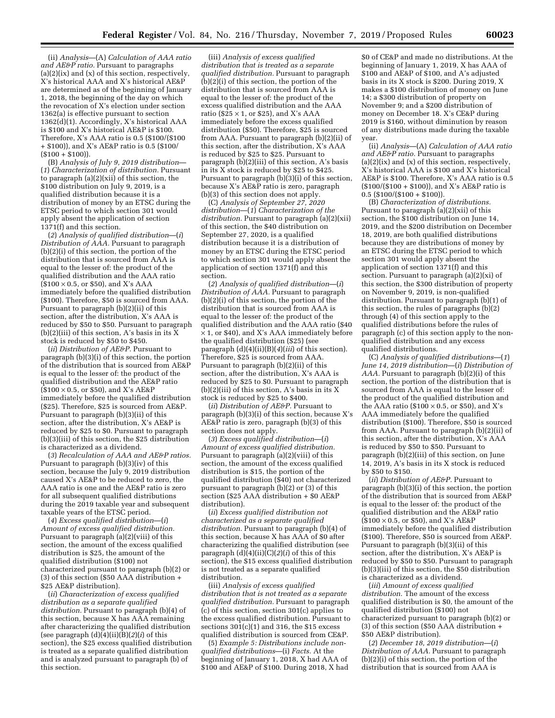(ii) *Analysis*—(A) *Calculation of AAA ratio and AE&P ratio.* Pursuant to paragraphs (a)(2)(ix) and (x) of this section, respectively, X's historical AAA and X's historical AE&P are determined as of the beginning of January 1, 2018, the beginning of the day on which the revocation of X's election under section 1362(a) is effective pursuant to section 1362(d)(1). Accordingly, X's historical AAA is \$100 and X's historical AE&P is \$100. Therefore, X's AAA ratio is 0.5 (\$100/(\$100 + \$100)), and X's AE&P ratio is 0.5 (\$100/  $(S100 + S100)$ .

(B) *Analysis of July 9, 2019 distribution*— (*1*) *Characterization of distribution.* Pursuant to paragraph (a)(2)(xii) of this section, the \$100 distribution on July 9, 2019, is a qualified distribution because it is a distribution of money by an ETSC during the ETSC period to which section 301 would apply absent the application of section 1371(f) and this section.

(*2*) *Analysis of qualified distribution*—(*i*) *Distribution of AAA.* Pursuant to paragraph (b)(2)(i) of this section, the portion of the distribution that is sourced from AAA is equal to the lesser of: the product of the qualified distribution and the AAA ratio  $($100 \times 0.5$, or $50], and X's AAA$ immediately before the qualified distribution (\$100). Therefore, \$50 is sourced from AAA. Pursuant to paragraph (b)(2)(ii) of this section, after the distribution, X's AAA is reduced by \$50 to \$50. Pursuant to paragraph  $(b)(2)(iii)$  of this section, A's basis in its X stock is reduced by \$50 to \$450.

(*ii*) *Distribution of AE&P.* Pursuant to paragraph (b)(3)(i) of this section, the portion of the distribution that is sourced from AE&P is equal to the lesser of: the product of the qualified distribution and the AE&P ratio  $($ \$100  $\times$  0.5, or \$50), and X's AE&P immediately before the qualified distribution (\$25). Therefore, \$25 is sourced from AE&P. Pursuant to paragraph (b)(3)(ii) of this section, after the distribution, X's AE&P is reduced by \$25 to \$0. Pursuant to paragraph (b)(3)(iii) of this section, the \$25 distribution is characterized as a dividend.

(*3*) *Recalculation of AAA and AE&P ratios.*  Pursuant to paragraph (b)(3)(iv) of this section, because the July 9, 2019 distribution caused X's AE&P to be reduced to zero, the AAA ratio is one and the AE&P ratio is zero for all subsequent qualified distributions during the 2019 taxable year and subsequent taxable years of the ETSC period.

(*4*) *Excess qualified distribution*—(*i*) *Amount of excess qualified distribution.*  Pursuant to paragraph (a)(2)(viii) of this section, the amount of the excess qualified distribution is \$25, the amount of the qualified distribution (\$100) not characterized pursuant to paragraph (b)(2) or (3) of this section (\$50 AAA distribution + \$25 AE&P distribution).

(*ii*) *Characterization of excess qualified distribution as a separate qualified distribution.* Pursuant to paragraph (b)(4) of this section, because X has AAA remaining after characterizing the qualified distribution (see paragraph  $(d)(4)(ii)(B)(2)(i)$  of this section), the \$25 excess qualified distribution is treated as a separate qualified distribution and is analyzed pursuant to paragraph (b) of this section.

(iii) *Analysis of excess qualified distribution that is treated as a separate qualified distribution.* Pursuant to paragraph  $(b)(2)(i)$  of this section, the portion of the distribution that is sourced from AAA is equal to the lesser of: the product of the excess qualified distribution and the AAA ratio (\$25  $\times$  1, or \$25), and X's AAA immediately before the excess qualified distribution (\$50). Therefore, \$25 is sourced from AAA. Pursuant to paragraph (b)(2)(ii) of this section, after the distribution, X's AAA is reduced by \$25 to \$25. Pursuant to paragraph (b)(2)(iii) of this section, A's basis in its X stock is reduced by \$25 to \$425. Pursuant to paragraph (b)(3)(i) of this section, because X's AE&P ratio is zero, paragraph (b)(3) of this section does not apply.

(C) *Analysis of September 27, 2020 distribution*—(*1*) *Characterization of the distribution.* Pursuant to paragraph (a)(2)(xii) of this section, the \$40 distribution on September 27, 2020, is a qualified distribution because it is a distribution of money by an ETSC during the ETSC period to which section 301 would apply absent the application of section 1371(f) and this section.

(*2*) *Analysis of qualified distribution*—(*i*) *Distribution of AAA.* Pursuant to paragraph (b)(2)(i) of this section, the portion of the distribution that is sourced from AAA is equal to the lesser of: the product of the qualified distribution and the AAA ratio (\$40  $\times$  1, or \$40), and X's AAA immediately before the qualified distribution (\$25) (see paragraph (d)(4)(ii)(B)(*4*)(*iii*) of this section). Therefore, \$25 is sourced from AAA. Pursuant to paragraph (b)(2)(ii) of this section, after the distribution, X's AAA is reduced by \$25 to \$0. Pursuant to paragraph (b)(2)(iii) of this section, A's basis in its X stock is reduced by \$25 to \$400.

(*ii*) *Distribution of AE&P.* Pursuant to paragraph (b)(3)(i) of this section, because X's AE&P ratio is zero, paragraph (b)(3) of this section does not apply.

(*3*) *Excess qualified distribution*—(*i*) *Amount of excess qualified distribution.*  Pursuant to paragraph (a)(2)(viii) of this section, the amount of the excess qualified distribution is \$15, the portion of the qualified distribution (\$40) not characterized pursuant to paragraph (b)(2) or (3) of this section (\$25 AAA distribution + \$0 AE&P distribution).

(*ii*) *Excess qualified distribution not characterized as a separate qualified distribution.* Pursuant to paragraph (b)(4) of this section, because X has AAA of \$0 after characterizing the qualified distribution (see paragraph  $(d)(4)(ii)(C)(2)(i)$  of this of this section), the \$15 excess qualified distribution is not treated as a separate qualified distribution.

(iii) *Analysis of excess qualified distribution that is not treated as a separate qualified distribution.* Pursuant to paragraph (c) of this section, section 301(c) applies to the excess qualified distribution. Pursuant to sections  $301(c)(1)$  and 316, the \$15 excess qualified distribution is sourced from CE&P.

(5) *Example 5: Distributions include nonqualified distributions*—(i) *Facts.* At the beginning of January 1, 2018, X had AAA of \$100 and AE&P of \$100. During 2018, X had

\$0 of CE&P and made no distributions. At the beginning of January 1, 2019, X has AAA of \$100 and AE&P of \$100, and A's adjusted basis in its X stock is \$200. During 2019, X makes a \$100 distribution of money on June 14; a \$300 distribution of property on November 9; and a \$200 distribution of money on December 18. X's CE&P during 2019 is \$160, without diminution by reason of any distributions made during the taxable year.

(ii) *Analysis*—(A) *Calculation of AAA ratio and AE&P ratio.* Pursuant to paragraphs  $(a)(2)(ix)$  and  $(x)$  of this section, respectively, X's historical AAA is \$100 and X's historical AE&P is \$100. Therefore, X's AAA ratio is 0.5 (\$100/(\$100 + \$100)), and X's AE&P ratio is  $0.5$  (\$100/(\$100 + \$100)).

(B) *Characterization of distributions.*  Pursuant to paragraph (a)(2)(xii) of this section, the \$100 distribution on June 14, 2019, and the \$200 distribution on December 18, 2019, are both qualified distributions because they are distributions of money by an ETSC during the ETSC period to which section 301 would apply absent the application of section 1371(f) and this section. Pursuant to paragraph (a)(2)(xi) of this section, the \$300 distribution of property on November 9, 2019, is non-qualified distribution. Pursuant to paragraph (b)(1) of this section, the rules of paragraphs (b)(2) through (4) of this section apply to the qualified distributions before the rules of paragraph (c) of this section apply to the nonqualified distribution and any excess qualified distributions.

(C) *Analysis of qualified distributions*—(*1*) *June 14, 2019 distribution*—(*i*) *Distribution of AAA.* Pursuant to paragraph (b)(2)(i) of this section, the portion of the distribution that is sourced from AAA is equal to the lesser of: the product of the qualified distribution and the AAA ratio ( $$100 \times 0.5$ , or \$50), and X's AAA immediately before the qualified distribution (\$100). Therefore, \$50 is sourced from AAA. Pursuant to paragraph (b)(2)(ii) of this section, after the distribution, X's AAA is reduced by \$50 to \$50. Pursuant to paragraph (b)(2)(iii) of this section, on June 14, 2019, A's basis in its X stock is reduced by \$50 to \$150.

(*ii*) *Distribution of AE&P.* Pursuant to paragraph (b)(3)(i) of this section, the portion of the distribution that is sourced from AE&P is equal to the lesser of: the product of the qualified distribution and the AE&P ratio  $($100 \times 0.5, \text{ or } $50), \text{ and } X's AExP$ immediately before the qualified distribution (\$100). Therefore, \$50 is sourced from AE&P. Pursuant to paragraph (b)(3)(ii) of this section, after the distribution, X's AE&P is reduced by \$50 to \$50. Pursuant to paragraph (b)(3)(iii) of this section, the \$50 distribution is characterized as a dividend.

(*iii*) *Amount of excess qualified distribution.* The amount of the excess qualified distribution is \$0, the amount of the qualified distribution (\$100) not characterized pursuant to paragraph (b)(2) or (3) of this section (\$50 AAA distribution + \$50 AE&P distribution).

(*2*) *December 18, 2019 distribution*—(*i*) *Distribution of AAA.* Pursuant to paragraph (b)(2)(i) of this section, the portion of the distribution that is sourced from AAA is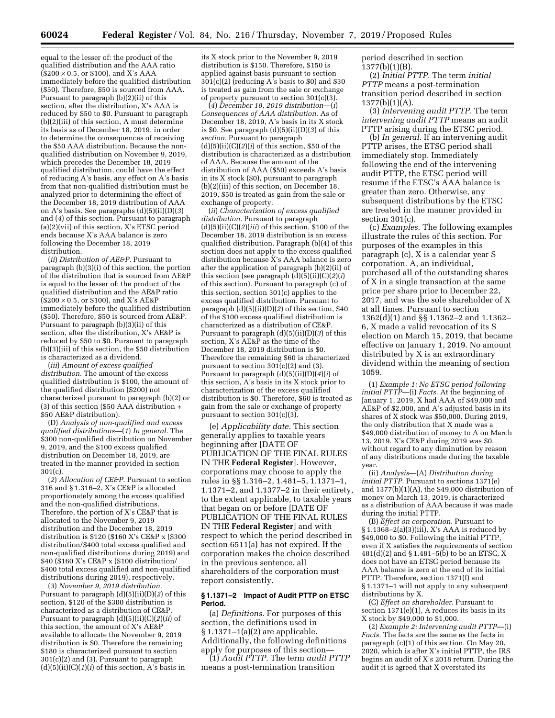equal to the lesser of: the product of the qualified distribution and the AAA ratio  $(\$200 \times 0.5$ , or \$100), and X's AAA immediately before the qualified distribution (\$50). Therefore, \$50 is sourced from AAA. Pursuant to paragraph (b)(2)(ii) of this section, after the distribution, X's AAA is reduced by \$50 to \$0. Pursuant to paragraph (b)(2)(iii) of this section, A must determine its basis as of December 18, 2019, in order to determine the consequences of receiving the \$50 AAA distribution. Because the nonqualified distribution on November 9, 2019, which precedes the December 18, 2019 qualified distribution, could have the effect of reducing A's basis, any effect on A's basis from that non-qualified distribution must be analyzed prior to determining the effect of the December 18, 2019 distribution of AAA on A's basis. See paragraphs (d)(5)(ii)(D)(*3*) and (*4*) of this section. Pursuant to paragraph (a)(2)(vii) of this section, X's ETSC period ends because X's AAA balance is zero following the December 18, 2019 distribution.

(*ii*) *Distribution of AE&P.* Pursuant to paragraph (b)(3)(i) of this section, the portion of the distribution that is sourced from AE&P is equal to the lesser of: the product of the qualified distribution and the AE&P ratio (\$200 × 0.5, or \$100), and X's AE&P immediately before the qualified distribution (\$50). Therefore, \$50 is sourced from AE&P. Pursuant to paragraph (b)(3)(ii) of this section, after the distribution, X's AE&P is reduced by \$50 to \$0. Pursuant to paragraph (b)(3)(iii) of this section, the \$50 distribution is characterized as a dividend.

(*iii*) *Amount of excess qualified distribution.* The amount of the excess qualified distribution is \$100, the amount of the qualified distribution (\$200) not characterized pursuant to paragraph (b)(2) or (3) of this section (\$50 AAA distribution + \$50 AE&P distribution).

(D) *Analysis of non-qualified and excess qualified distributions*—(*1*) *In general.* The \$300 non-qualified distribution on November 9, 2019, and the \$100 excess qualified distribution on December 18, 2019, are treated in the manner provided in section 301(c).

(*2*) *Allocation of CE&P.* Pursuant to section 316 and § 1.316–2, X's CE&P is allocated proportionately among the excess qualified and the non-qualified distributions. Therefore, the portion of X's CE&P that is allocated to the November 9, 2019 distribution and the December 18, 2019 distribution is \$120 (\$160 X's CE&P x (\$300 distribution/\$400 total excess qualified and non-qualified distributions during 2019) and \$40 (\$160 X's CE&P x (\$100 distribution/ \$400 total excess qualified and non-qualified distributions during 2019), respectively.

(*3*) *November 9, 2019 distribution.*  Pursuant to paragraph (d)(5)(ii)(D)(*2*) of this section, \$120 of the \$300 distribution is characterized as a distribution of CE&P. Pursuant to paragraph (d)(5)(ii)(C)(*2*)(*ii*) of this section, the amount of X's AE&P available to allocate the November 9, 2019 distribution is \$0. Therefore the remaining \$180 is characterized pursuant to section 301(c)(2) and (3). Pursuant to paragraph  $(d)(5)(ii)(C)(1)(i)$  of this section, A's basis in

its X stock prior to the November 9, 2019 distribution is \$150. Therefore, \$150 is applied against basis pursuant to section  $301(c)(2)$  (reducing A's basis to \$0) and \$30 is treated as gain from the sale or exchange of property pursuant to section 301(c)(3).

(*4*) *December 18, 2019 distribution*—(*i*) *Consequences of AAA distribution.* As of December 18, 2019, A's basis in its X stock is \$0. See paragraph (d)(5)(ii)(D)(*3*) of this *section.* Pursuant to paragraph  $(d)(5)(ii)(C)(2)(i)$  of this section, \$50 of the distribution is characterized as a distribution of AAA. Because the amount of the distribution of AAA (\$50) exceeds A's basis in its X stock (\$0), pursuant to paragraph (b)(2)(iii) of this section, on December 18, 2019, \$50 is treated as gain from the sale or exchange of property.

(*ii*) *Characterization of excess qualified distribution.* Pursuant to paragraph (d)(5)(ii)(C)(*2*)(*iii*) of this section, \$100 of the December 18, 2019 distribution is an excess qualified distribution. Paragraph (b)(4) of this section does not apply to the excess qualified distribution because X's AAA balance is zero after the application of paragraph (b)(2)(ii) of this section (see paragraph (d)(5)(ii)(C)(*2*)(*i*) of this section). Pursuant to paragraph (c) of this section, section 301(c) applies to the excess qualified distribution. Pursuant to paragraph (d)(5)(ii)(D)(*2*) of this section, \$40 of the \$100 excess qualified distribution is characterized as a distribution of CE&P. Pursuant to paragraph (d)(5)(ii)(D)(*3*) of this section, X's AE&P as the time of the December 18, 2019 distribution is \$0. Therefore the remaining \$60 is characterized pursuant to section  $301(c)(2)$  and  $(3)$ . Pursuant to paragraph (d)(5)(ii)(D)(*4*)(*i*) of this section, A's basis in its X stock prior to characterization of the excess qualified distribution is \$0. Therefore, \$60 is treated as gain from the sale or exchange of property pursuant to section 301(c)(3).

(e) *Applicability date.* This section generally applies to taxable years beginning after [DATE OF PUBLICATION OF THE FINAL RULES IN THE **Federal Register**]. However, corporations may choose to apply the rules in §§ 1.316–2, 1.481–5, 1.1371–1, 1.1371–2, and 1.1377–2 in their entirety, to the extent applicable, to taxable years that began on or before [DATE OF PUBLICATION OF THE FINAL RULES IN THE **Federal Register**] and with respect to which the period described in section 6511(a) has not expired. If the corporation makes the choice described in the previous sentence, all shareholders of the corporation must report consistently.

#### **§ 1.1371–2 Impact of Audit PTTP on ETSC Period.**

(a) *Definitions.* For purposes of this section, the definitions used in § 1.1371–1(a)(2) are applicable. Additionally, the following definitions apply for purposes of this section—

(1) *Audit PTTP.* The term *audit PTTP*  means a post-termination transition

period described in section 1377(b)(1)(B).

(2) *Initial PTTP.* The term *initial PTTP* means a post-termination transition period described in section  $1377(b)(1)(A)$ .

(3) *Intervening audit PTTP.* The term *intervening audit PTTP* means an audit PTTP arising during the ETSC period.

(b) *In general.* If an intervening audit PTTP arises, the ETSC period shall immediately stop. Immediately following the end of the intervening audit PTTP, the ETSC period will resume if the ETSC's AAA balance is greater than zero. Otherwise, any subsequent distributions by the ETSC are treated in the manner provided in section 301(c).

(c) *Examples.* The following examples illustrate the rules of this section. For purposes of the examples in this paragraph (c), X is a calendar year S corporation. A, an individual, purchased all of the outstanding shares of X in a single transaction at the same price per share prior to December 22, 2017, and was the sole shareholder of X at all times. Pursuant to section 1362(d)(1) and §§ 1.1362–2 and 1.1362– 6, X made a valid revocation of its S election on March 15, 2019, that became effective on January 1, 2019. No amount distributed by X is an extraordinary dividend within the meaning of section 1059.

(1) *Example 1: No ETSC period following initial PTTP*—(i) *Facts*. At the beginning of January 1, 2019, X had AAA of \$49,000 and AE&P of \$2,000, and A's adjusted basis in its shares of X stock was \$50,000. During 2019, the only distribution that X made was a \$49,000 distribution of money to A on March 13, 2019. X's CE&P during 2019 was \$0, without regard to any diminution by reason of any distributions made during the taxable year.

(ii) *Analysis*—(A) *Distribution during initial PTTP.* Pursuant to sections 1371(e) and  $1377(b)(1)(A)$ , the \$49,000 distribution of money on March 13, 2019, is characterized as a distribution of AAA because it was made during the initial PTTP.

(B) *Effect on corporation.* Pursuant to  $\S 1.1368 - 2(a)(3)(iii)$ , X's AAA is reduced by \$49,000 to \$0. Following the initial PTTP, even if X satisfies the requirements of section 481(d)(2) and § 1.481–5(b) to be an ETSC, X does not have an ETSC period because its AAA balance is zero at the end of its initial PTTP. Therefore, section 1371(f) and § 1.1371–1 will not apply to any subsequent distributions by X.

(C) *Effect on shareholder.* Pursuant to section 1371(e)(1), A reduces its basis in its X stock by \$49,000 to \$1,000.

(2) *Example 2: Intervening audit PTTP*—(i) *Facts.* The facts are the same as the facts in paragraph (c)(1) of this section. On May 20, 2020, which is after X's initial PTTP, the IRS begins an audit of X's 2018 return. During the audit it is agreed that X overstated its